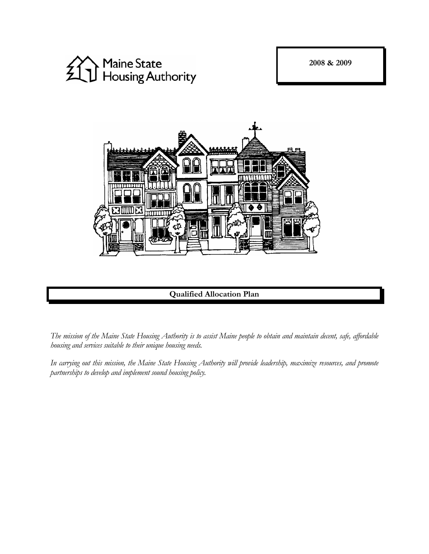**2008 & 2009** 





**Qualified Allocation Plan**

*The mission of the Maine State Housing Authority is to assist Maine people to obtain and maintain decent, safe, affordable housing and services suitable to their unique housing needs.* 

*In carrying out this mission, the Maine State Housing Authority will provide leadership, maximize resources, and promote partnerships to develop and implement sound housing policy.*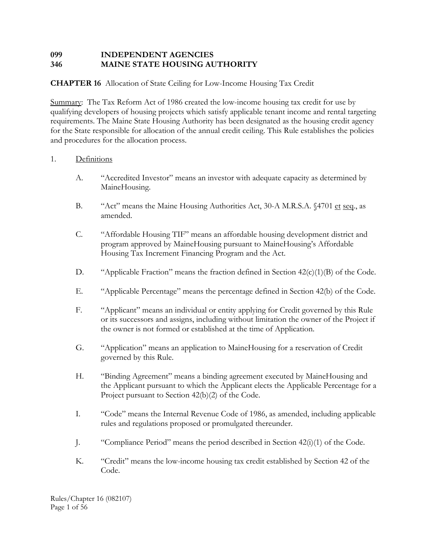# **099 INDEPENDENT AGENCIES 346 MAINE STATE HOUSING AUTHORITY**

# **CHAPTER 16** Allocation of State Ceiling for Low-Income Housing Tax Credit

Summary: The Tax Reform Act of 1986 created the low-income housing tax credit for use by qualifying developers of housing projects which satisfy applicable tenant income and rental targeting requirements. The Maine State Housing Authority has been designated as the housing credit agency for the State responsible for allocation of the annual credit ceiling. This Rule establishes the policies and procedures for the allocation process.

# 1. Definitions

- A. "Accredited Investor" means an investor with adequate capacity as determined by MaineHousing.
- B. "Act" means the Maine Housing Authorities Act, 30-A M.R.S.A. §4701 et seq., as amended.
- C. "Affordable Housing TIF" means an affordable housing development district and program approved by MaineHousing pursuant to MaineHousing's Affordable Housing Tax Increment Financing Program and the Act.
- D. "Applicable Fraction" means the fraction defined in Section  $42(c)(1)(B)$  of the Code.
- E. "Applicable Percentage" means the percentage defined in Section 42(b) of the Code.
- F. "Applicant" means an individual or entity applying for Credit governed by this Rule or its successors and assigns, including without limitation the owner of the Project if the owner is not formed or established at the time of Application.
- G. "Application" means an application to MaineHousing for a reservation of Credit governed by this Rule.
- H. "Binding Agreement" means a binding agreement executed by MaineHousing and the Applicant pursuant to which the Applicant elects the Applicable Percentage for a Project pursuant to Section 42(b)(2) of the Code.
- I. "Code" means the Internal Revenue Code of 1986, as amended, including applicable rules and regulations proposed or promulgated thereunder.
- J. "Compliance Period" means the period described in Section 42(i)(1) of the Code.
- K. "Credit" means the low-income housing tax credit established by Section 42 of the Code.

Rules/Chapter 16 (082107) Page 1 of 56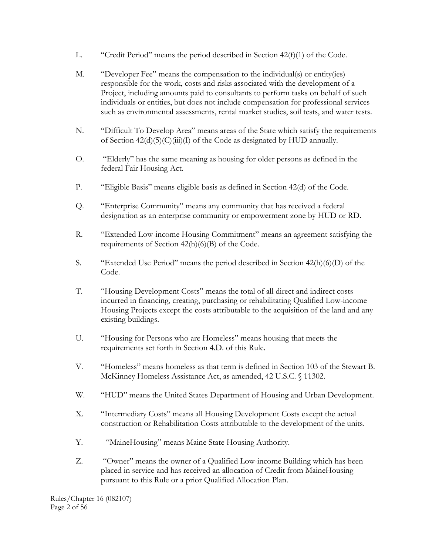- L. "Credit Period" means the period described in Section  $42(f)(1)$  of the Code.
- M. "Developer Fee" means the compensation to the individual(s) or entity(ies) responsible for the work, costs and risks associated with the development of a Project, including amounts paid to consultants to perform tasks on behalf of such individuals or entities, but does not include compensation for professional services such as environmental assessments, rental market studies, soil tests, and water tests.
- N. "Difficult To Develop Area" means areas of the State which satisfy the requirements of Section  $42(d)(5)(C)(iii)(I)$  of the Code as designated by HUD annually.
- O. "Elderly" has the same meaning as housing for older persons as defined in the federal Fair Housing Act.
- P. "Eligible Basis" means eligible basis as defined in Section 42(d) of the Code.
- Q. "Enterprise Community" means any community that has received a federal designation as an enterprise community or empowerment zone by HUD or RD.
- R. "Extended Low-income Housing Commitment" means an agreement satisfying the requirements of Section 42(h)(6)(B) of the Code.
- S. "Extended Use Period" means the period described in Section 42(h)(6)(D) of the Code.
- T. "Housing Development Costs" means the total of all direct and indirect costs incurred in financing, creating, purchasing or rehabilitating Qualified Low-income Housing Projects except the costs attributable to the acquisition of the land and any existing buildings.
- U. "Housing for Persons who are Homeless" means housing that meets the requirements set forth in Section 4.D. of this Rule.
- V. "Homeless" means homeless as that term is defined in Section 103 of the Stewart B. McKinney Homeless Assistance Act, as amended, 42 U.S.C. § 11302.
- W. "HUD" means the United States Department of Housing and Urban Development.
- X. "Intermediary Costs" means all Housing Development Costs except the actual construction or Rehabilitation Costs attributable to the development of the units.
- Y. "MaineHousing" means Maine State Housing Authority.
- Z. "Owner" means the owner of a Qualified Low-income Building which has been placed in service and has received an allocation of Credit from MaineHousing pursuant to this Rule or a prior Qualified Allocation Plan.

Rules/Chapter 16 (082107) Page 2 of 56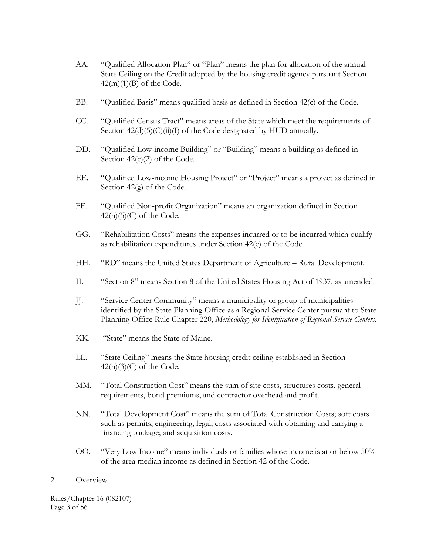- AA. "Qualified Allocation Plan" or "Plan" means the plan for allocation of the annual State Ceiling on the Credit adopted by the housing credit agency pursuant Section  $42(m)(1)(B)$  of the Code.
- BB. "Qualified Basis" means qualified basis as defined in Section 42(c) of the Code.
- CC. "Qualified Census Tract" means areas of the State which meet the requirements of Section  $42(d)(5)(C)(ii)(I)$  of the Code designated by HUD annually.
- DD. "Qualified Low-income Building" or "Building" means a building as defined in Section  $42(c)(2)$  of the Code.
- EE. "Qualified Low-income Housing Project" or "Project" means a project as defined in Section 42(g) of the Code.
- FF. "Qualified Non-profit Organization" means an organization defined in Section  $42(h)(5)(C)$  of the Code.
- GG. "Rehabilitation Costs" means the expenses incurred or to be incurred which qualify as rehabilitation expenditures under Section 42(e) of the Code.
- HH. "RD" means the United States Department of Agriculture Rural Development.
- II. "Section 8" means Section 8 of the United States Housing Act of 1937, as amended.
- JJ. "Service Center Community" means a municipality or group of municipalities identified by the State Planning Office as a Regional Service Center pursuant to State Planning Office Rule Chapter 220, *Methodology for Identification of Regional Service Centers*.
- KK. "State" means the State of Maine.
- LL. "State Ceiling" means the State housing credit ceiling established in Section  $42(h)(3)(C)$  of the Code.
- MM. "Total Construction Cost" means the sum of site costs, structures costs, general requirements, bond premiums, and contractor overhead and profit.
- NN. "Total Development Cost" means the sum of Total Construction Costs; soft costs such as permits, engineering, legal; costs associated with obtaining and carrying a financing package; and acquisition costs.
- OO. "Very Low Income" means individuals or families whose income is at or below 50% of the area median income as defined in Section 42 of the Code.

#### 2. Overview

Rules/Chapter 16 (082107) Page 3 of 56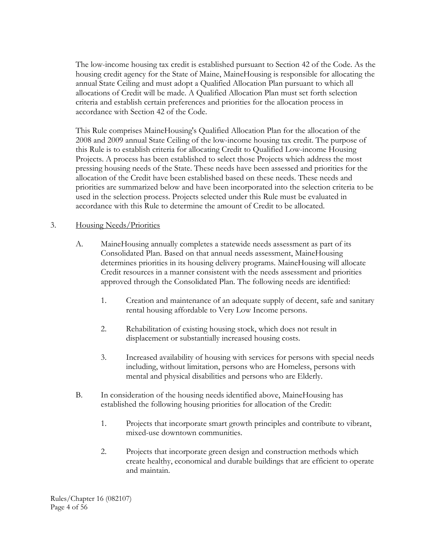The low-income housing tax credit is established pursuant to Section 42 of the Code. As the housing credit agency for the State of Maine, MaineHousing is responsible for allocating the annual State Ceiling and must adopt a Qualified Allocation Plan pursuant to which all allocations of Credit will be made. A Qualified Allocation Plan must set forth selection criteria and establish certain preferences and priorities for the allocation process in accordance with Section 42 of the Code.

This Rule comprises MaineHousing's Qualified Allocation Plan for the allocation of the 2008 and 2009 annual State Ceiling of the low-income housing tax credit. The purpose of this Rule is to establish criteria for allocating Credit to Qualified Low-income Housing Projects. A process has been established to select those Projects which address the most pressing housing needs of the State. These needs have been assessed and priorities for the allocation of the Credit have been established based on these needs. These needs and priorities are summarized below and have been incorporated into the selection criteria to be used in the selection process. Projects selected under this Rule must be evaluated in accordance with this Rule to determine the amount of Credit to be allocated.

### 3. Housing Needs/Priorities

- A. MaineHousing annually completes a statewide needs assessment as part of its Consolidated Plan. Based on that annual needs assessment, MaineHousing determines priorities in its housing delivery programs. MaineHousing will allocate Credit resources in a manner consistent with the needs assessment and priorities approved through the Consolidated Plan. The following needs are identified:
	- 1. Creation and maintenance of an adequate supply of decent, safe and sanitary rental housing affordable to Very Low Income persons.
	- 2. Rehabilitation of existing housing stock, which does not result in displacement or substantially increased housing costs.
	- 3. Increased availability of housing with services for persons with special needs including, without limitation, persons who are Homeless, persons with mental and physical disabilities and persons who are Elderly.
- B. In consideration of the housing needs identified above, MaineHousing has established the following housing priorities for allocation of the Credit:
	- 1. Projects that incorporate smart growth principles and contribute to vibrant, mixed-use downtown communities.
	- 2. Projects that incorporate green design and construction methods which create healthy, economical and durable buildings that are efficient to operate and maintain.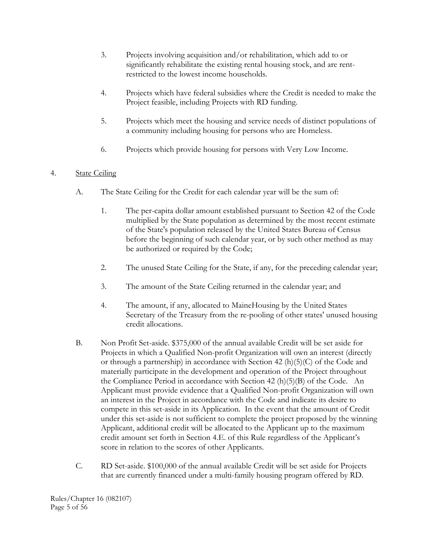- 3. Projects involving acquisition and/or rehabilitation, which add to or significantly rehabilitate the existing rental housing stock, and are rentrestricted to the lowest income households.
- 4. Projects which have federal subsidies where the Credit is needed to make the Project feasible, including Projects with RD funding.
- 5. Projects which meet the housing and service needs of distinct populations of a community including housing for persons who are Homeless.
- 6. Projects which provide housing for persons with Very Low Income.

# 4. State Ceiling

- A. The State Ceiling for the Credit for each calendar year will be the sum of:
	- 1. The per-capita dollar amount established pursuant to Section 42 of the Code multiplied by the State population as determined by the most recent estimate of the State's population released by the United States Bureau of Census before the beginning of such calendar year, or by such other method as may be authorized or required by the Code;
	- 2. The unused State Ceiling for the State, if any, for the preceding calendar year;
	- 3. The amount of the State Ceiling returned in the calendar year; and
	- 4. The amount, if any, allocated to MaineHousing by the United States Secretary of the Treasury from the re-pooling of other states' unused housing credit allocations.
- B. Non Profit Set-aside. \$375,000 of the annual available Credit will be set aside for Projects in which a Qualified Non-profit Organization will own an interest (directly or through a partnership) in accordance with Section 42 (h)(5)(C) of the Code and materially participate in the development and operation of the Project throughout the Compliance Period in accordance with Section 42 (h)(5)(B) of the Code. An Applicant must provide evidence that a Qualified Non-profit Organization will own an interest in the Project in accordance with the Code and indicate its desire to compete in this set-aside in its Application. In the event that the amount of Credit under this set-aside is not sufficient to complete the project proposed by the winning Applicant, additional credit will be allocated to the Applicant up to the maximum credit amount set forth in Section 4.E. of this Rule regardless of the Applicant's score in relation to the scores of other Applicants.
- C. RD Set-aside. \$100,000 of the annual available Credit will be set aside for Projects that are currently financed under a multi-family housing program offered by RD.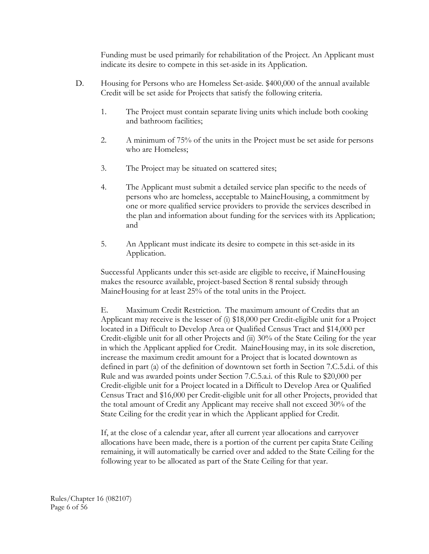Funding must be used primarily for rehabilitation of the Project. An Applicant must indicate its desire to compete in this set-aside in its Application.

- D. Housing for Persons who are Homeless Set-aside. \$400,000 of the annual available Credit will be set aside for Projects that satisfy the following criteria.
	- 1. The Project must contain separate living units which include both cooking and bathroom facilities;
	- 2. A minimum of 75% of the units in the Project must be set aside for persons who are Homeless;
	- 3. The Project may be situated on scattered sites;
	- 4. The Applicant must submit a detailed service plan specific to the needs of persons who are homeless, acceptable to MaineHousing, a commitment by one or more qualified service providers to provide the services described in the plan and information about funding for the services with its Application; and
	- 5. An Applicant must indicate its desire to compete in this set-aside in its Application.

Successful Applicants under this set-aside are eligible to receive, if MaineHousing makes the resource available, project-based Section 8 rental subsidy through MaineHousing for at least 25% of the total units in the Project.

E. Maximum Credit Restriction. The maximum amount of Credits that an Applicant may receive is the lesser of (i) \$18,000 per Credit-eligible unit for a Project located in a Difficult to Develop Area or Qualified Census Tract and \$14,000 per Credit-eligible unit for all other Projects and (ii) 30% of the State Ceiling for the year in which the Applicant applied for Credit. MaineHousing may, in its sole discretion, increase the maximum credit amount for a Project that is located downtown as defined in part (a) of the definition of downtown set forth in Section 7.C.5.d.i. of this Rule and was awarded points under Section 7.C.5.a.i. of this Rule to \$20,000 per Credit-eligible unit for a Project located in a Difficult to Develop Area or Qualified Census Tract and \$16,000 per Credit-eligible unit for all other Projects, provided that the total amount of Credit any Applicant may receive shall not exceed 30% of the State Ceiling for the credit year in which the Applicant applied for Credit.

 If, at the close of a calendar year, after all current year allocations and carryover allocations have been made, there is a portion of the current per capita State Ceiling remaining, it will automatically be carried over and added to the State Ceiling for the following year to be allocated as part of the State Ceiling for that year.

Rules/Chapter 16 (082107) Page 6 of 56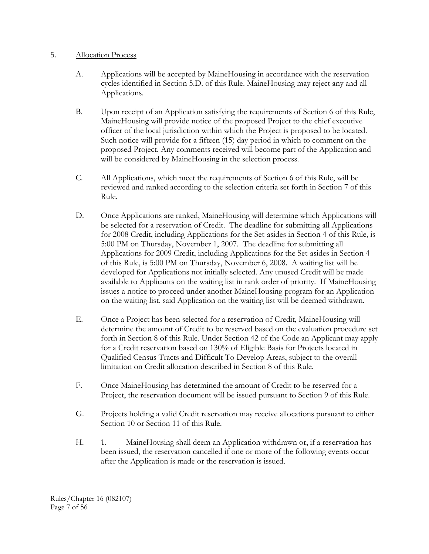### 5. Allocation Process

- A. Applications will be accepted by MaineHousing in accordance with the reservation cycles identified in Section 5.D. of this Rule. MaineHousing may reject any and all Applications.
- B. Upon receipt of an Application satisfying the requirements of Section 6 of this Rule, MaineHousing will provide notice of the proposed Project to the chief executive officer of the local jurisdiction within which the Project is proposed to be located. Such notice will provide for a fifteen (15) day period in which to comment on the proposed Project. Any comments received will become part of the Application and will be considered by MaineHousing in the selection process.
- C. All Applications, which meet the requirements of Section 6 of this Rule, will be reviewed and ranked according to the selection criteria set forth in Section 7 of this Rule.
- D. Once Applications are ranked, MaineHousing will determine which Applications will be selected for a reservation of Credit. The deadline for submitting all Applications for 2008 Credit, including Applications for the Set-asides in Section 4 of this Rule, is 5:00 PM on Thursday, November 1, 2007. The deadline for submitting all Applications for 2009 Credit, including Applications for the Set-asides in Section 4 of this Rule, is 5:00 PM on Thursday, November 6, 2008. A waiting list will be developed for Applications not initially selected. Any unused Credit will be made available to Applicants on the waiting list in rank order of priority. If MaineHousing issues a notice to proceed under another MaineHousing program for an Application on the waiting list, said Application on the waiting list will be deemed withdrawn.
- E. Once a Project has been selected for a reservation of Credit, MaineHousing will determine the amount of Credit to be reserved based on the evaluation procedure set forth in Section 8 of this Rule. Under Section 42 of the Code an Applicant may apply for a Credit reservation based on 130% of Eligible Basis for Projects located in Qualified Census Tracts and Difficult To Develop Areas, subject to the overall limitation on Credit allocation described in Section 8 of this Rule.
- F. Once MaineHousing has determined the amount of Credit to be reserved for a Project, the reservation document will be issued pursuant to Section 9 of this Rule.
- G. Projects holding a valid Credit reservation may receive allocations pursuant to either Section 10 or Section 11 of this Rule.
- H. 1. MaineHousing shall deem an Application withdrawn or, if a reservation has been issued, the reservation cancelled if one or more of the following events occur after the Application is made or the reservation is issued.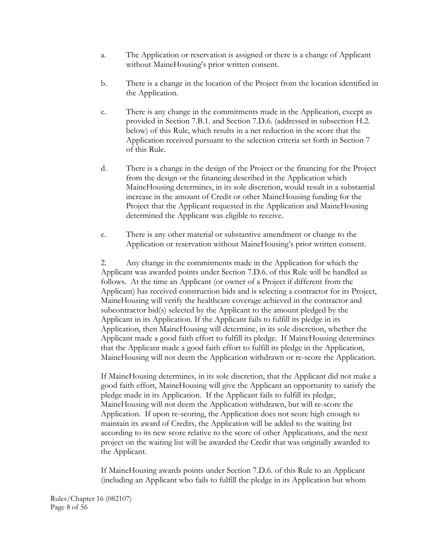- a. The Application or reservation is assigned or there is a change of Applicant without MaineHousing's prior written consent.
- b. There is a change in the location of the Project from the location identified in the Application.
- c. There is any change in the commitments made in the Application, except as provided in Section 7.B.1. and Section 7.D.6. (addressed in subsection H.2. below) of this Rule, which results in a net reduction in the score that the Application received pursuant to the selection criteria set forth in Section 7 of this Rule.
- d. There is a change in the design of the Project or the financing for the Project from the design or the financing described in the Application which MaineHousing determines, in its sole discretion, would result in a substantial increase in the amount of Credit or other MaineHousing funding for the Project that the Applicant requested in the Application and MaineHousing determined the Applicant was eligible to receive.
- e. There is any other material or substantive amendment or change to the Application or reservation without MaineHousing's prior written consent.

2. Any change in the commitments made in the Application for which the Applicant was awarded points under Section 7.D.6. of this Rule will be handled as follows. At the time an Applicant (or owner of a Project if different from the Applicant) has received construction bids and is selecting a contractor for its Project, MaineHousing will verify the healthcare coverage achieved in the contractor and subcontractor bid(s) selected by the Applicant to the amount pledged by the Applicant in its Application. If the Applicant fails to fulfill its pledge in its Application, then MaineHousing will determine, in its sole discretion, whether the Applicant made a good faith effort to fulfill its pledge. If MaineHousing determines that the Applicant made a good faith effort to fulfill its pledge in the Application, MaineHousing will not deem the Application withdrawn or re-score the Application.

If MaineHousing determines, in its sole discretion, that the Applicant did not make a good faith effort, MaineHousing will give the Applicant an opportunity to satisfy the pledge made in its Application. If the Applicant fails to fulfill its pledge, MaineHousing will not deem the Application withdrawn, but will re-score the Application. If upon re-scoring, the Application does not score high enough to maintain its award of Credits, the Application will be added to the waiting list according to its new score relative to the score of other Applications, and the next project on the waiting list will be awarded the Credit that was originally awarded to the Applicant.

If MaineHousing awards points under Section 7.D.6. of this Rule to an Applicant (including an Applicant who fails to fulfill the pledge in its Application but whom

Rules/Chapter 16 (082107) Page 8 of 56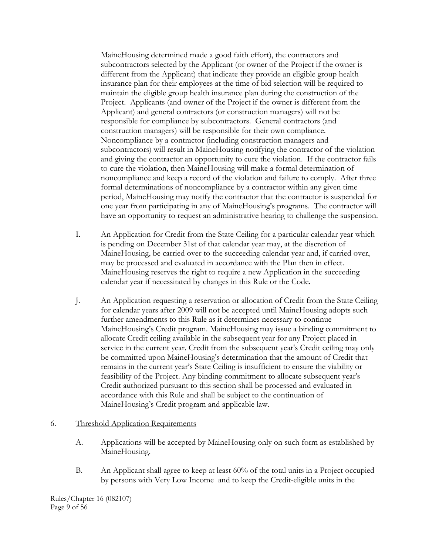MaineHousing determined made a good faith effort), the contractors and subcontractors selected by the Applicant (or owner of the Project if the owner is different from the Applicant) that indicate they provide an eligible group health insurance plan for their employees at the time of bid selection will be required to maintain the eligible group health insurance plan during the construction of the Project. Applicants (and owner of the Project if the owner is different from the Applicant) and general contractors (or construction managers) will not be responsible for compliance by subcontractors. General contractors (and construction managers) will be responsible for their own compliance. Noncompliance by a contractor (including construction managers and subcontractors) will result in MaineHousing notifying the contractor of the violation and giving the contractor an opportunity to cure the violation. If the contractor fails to cure the violation, then MaineHousing will make a formal determination of noncompliance and keep a record of the violation and failure to comply. After three formal determinations of noncompliance by a contractor within any given time period, MaineHousing may notify the contractor that the contractor is suspended for one year from participating in any of MaineHousing's programs. The contractor will have an opportunity to request an administrative hearing to challenge the suspension.

- I. An Application for Credit from the State Ceiling for a particular calendar year which is pending on December 31st of that calendar year may, at the discretion of MaineHousing, be carried over to the succeeding calendar year and, if carried over, may be processed and evaluated in accordance with the Plan then in effect. MaineHousing reserves the right to require a new Application in the succeeding calendar year if necessitated by changes in this Rule or the Code.
- J. An Application requesting a reservation or allocation of Credit from the State Ceiling for calendar years after 2009 will not be accepted until MaineHousing adopts such further amendments to this Rule as it determines necessary to continue MaineHousing's Credit program. MaineHousing may issue a binding commitment to allocate Credit ceiling available in the subsequent year for any Project placed in service in the current year. Credit from the subsequent year's Credit ceiling may only be committed upon MaineHousing's determination that the amount of Credit that remains in the current year's State Ceiling is insufficient to ensure the viability or feasibility of the Project. Any binding commitment to allocate subsequent year's Credit authorized pursuant to this section shall be processed and evaluated in accordance with this Rule and shall be subject to the continuation of MaineHousing's Credit program and applicable law.

### 6. Threshold Application Requirements

- A. Applications will be accepted by MaineHousing only on such form as established by MaineHousing.
- B. An Applicant shall agree to keep at least 60% of the total units in a Project occupied by persons with Very Low Income and to keep the Credit-eligible units in the

Rules/Chapter 16 (082107) Page 9 of 56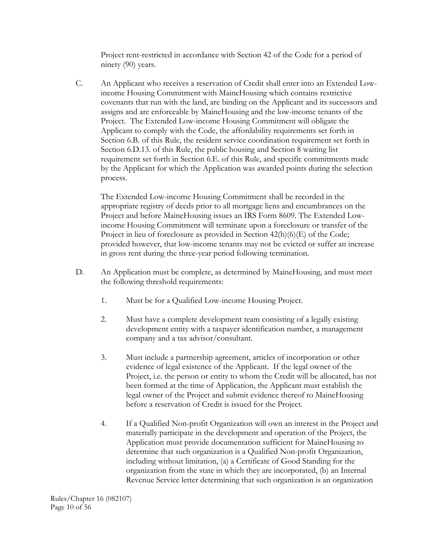Project rent-restricted in accordance with Section 42 of the Code for a period of ninety (90) years.

 C. An Applicant who receives a reservation of Credit shall enter into an Extended Lowincome Housing Commitment with MaineHousing which contains restrictive covenants that run with the land, are binding on the Applicant and its successors and assigns and are enforceable by MaineHousing and the low-income tenants of the Project. The Extended Low-income Housing Commitment will obligate the Applicant to comply with the Code, the affordability requirements set forth in Section 6.B. of this Rule, the resident service coordination requirement set forth in Section 6.D.13. of this Rule, the public housing and Section 8 waiting list requirement set forth in Section 6.E. of this Rule, and specific commitments made by the Applicant for which the Application was awarded points during the selection process.

The Extended Low-income Housing Commitment shall be recorded in the appropriate registry of deeds prior to all mortgage liens and encumbrances on the Project and before MaineHousing issues an IRS Form 8609. The Extended Lowincome Housing Commitment will terminate upon a foreclosure or transfer of the Project in lieu of foreclosure as provided in Section 42(h)(6)(E) of the Code; provided however, that low-income tenants may not be evicted or suffer an increase in gross rent during the three-year period following termination.

- D. An Application must be complete, as determined by MaineHousing, and must meet the following threshold requirements:
	- 1. Must be for a Qualified Low-income Housing Project.
	- 2. Must have a complete development team consisting of a legally existing development entity with a taxpayer identification number, a management company and a tax advisor/consultant.
	- 3. Must include a partnership agreement, articles of incorporation or other evidence of legal existence of the Applicant. If the legal owner of the Project, i.e. the person or entity to whom the Credit will be allocated, has not been formed at the time of Application, the Applicant must establish the legal owner of the Project and submit evidence thereof to MaineHousing before a reservation of Credit is issued for the Project.
	- 4. If a Qualified Non-profit Organization will own an interest in the Project and materially participate in the development and operation of the Project, the Application must provide documentation sufficient for MaineHousing to determine that such organization is a Qualified Non-profit Organization, including without limitation, (a) a Certificate of Good Standing for the organization from the state in which they are incorporated, (b) an Internal Revenue Service letter determining that such organization is an organization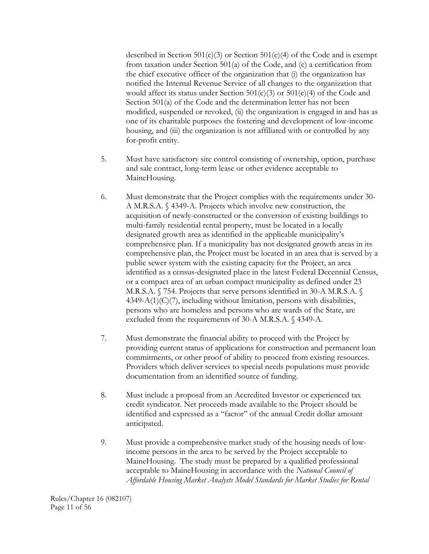described in Section 501(c)(3) or Section 501(c)(4) of the Code and is exempt from taxation under Section 501(a) of the Code, and (c) a certification from the chief executive officer of the organization that (i) the organization has notified the Internal Revenue Service of all changes to the organization that would affect its status under Section  $501(c)(3)$  or  $501(c)(4)$  of the Code and Section 501(a) of the Code and the determination letter has not been modified, suspended or revoked, (ii) the organization is engaged in and has as one of its charitable purposes the fostering and development of low-income housing, and (iii) the organization is not affiliated with or controlled by any for-profit entity.

- 5. Must have satisfactory site control consisting of ownership, option, purchase and sale contract, long-term lease or other evidence acceptable to MaineHousing.
- 6. Must demonstrate that the Project complies with the requirements under 30- A M.R.S.A. § 4349-A. Projects which involve new construction, the acquisition of newly-constructed or the conversion of existing buildings to multi-family residential rental property, must be located in a locally designated growth area as identified in the applicable municipality's comprehensive plan. If a municipality has not designated growth areas in its comprehensive plan, the Project must be located in an area that is served by a public sewer system with the existing capacity for the Project, an area identified as a census-designated place in the latest Federal Decennial Census, or a compact area of an urban compact municipality as defined under 23 M.R.S.A. § 754. Projects that serve persons identified in 30-A M.R.S.A. §  $4349-A(1)(C)(7)$ , including without limitation, persons with disabilities, persons who are homeless and persons who are wards of the State, are excluded from the requirements of 30-A M.R.S.A. § 4349-A.
- 7. Must demonstrate the financial ability to proceed with the Project by providing current status of applications for construction and permanent loan commitments, or other proof of ability to proceed from existing resources. Providers which deliver services to special needs populations must provide documentation from an identified source of funding.
- 8. Must include a proposal from an Accredited Investor or experienced tax credit syndicator. Net proceeds made available to the Project should be identified and expressed as a "factor" of the annual Credit dollar amount anticipated.
- 9. Must provide a comprehensive market study of the housing needs of lowincome persons in the area to be served by the Project acceptable to MaineHousing. The study must be prepared by a qualified professional acceptable to MaineHousing in accordance with the *National Council of Affordable Housing Market Analysts Model Standards for Market Studies for Rental*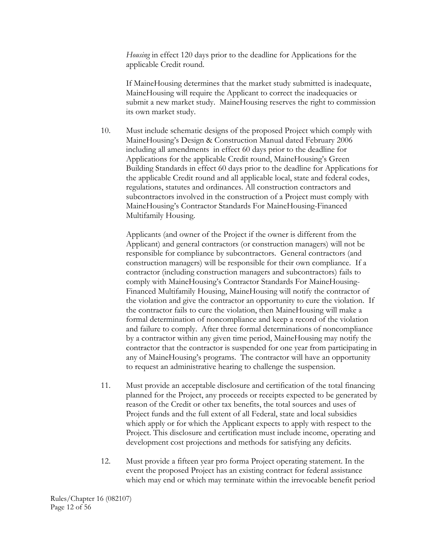*Housing* in effect 120 days prior to the deadline for Applications for the applicable Credit round.

If MaineHousing determines that the market study submitted is inadequate, MaineHousing will require the Applicant to correct the inadequacies or submit a new market study. MaineHousing reserves the right to commission its own market study.

 10. Must include schematic designs of the proposed Project which comply with MaineHousing's Design & Construction Manual dated February 2006 including all amendments in effect 60 days prior to the deadline for Applications for the applicable Credit round, MaineHousing's Green Building Standards in effect 60 days prior to the deadline for Applications for the applicable Credit round and all applicable local, state and federal codes, regulations, statutes and ordinances. All construction contractors and subcontractors involved in the construction of a Project must comply with MaineHousing's Contractor Standards For MaineHousing-Financed Multifamily Housing.

Applicants (and owner of the Project if the owner is different from the Applicant) and general contractors (or construction managers) will not be responsible for compliance by subcontractors. General contractors (and construction managers) will be responsible for their own compliance. If a contractor (including construction managers and subcontractors) fails to comply with MaineHousing's Contractor Standards For MaineHousing-Financed Multifamily Housing, MaineHousing will notify the contractor of the violation and give the contractor an opportunity to cure the violation. If the contractor fails to cure the violation, then MaineHousing will make a formal determination of noncompliance and keep a record of the violation and failure to comply. After three formal determinations of noncompliance by a contractor within any given time period, MaineHousing may notify the contractor that the contractor is suspended for one year from participating in any of MaineHousing's programs. The contractor will have an opportunity to request an administrative hearing to challenge the suspension.

- 11. Must provide an acceptable disclosure and certification of the total financing planned for the Project, any proceeds or receipts expected to be generated by reason of the Credit or other tax benefits, the total sources and uses of Project funds and the full extent of all Federal, state and local subsidies which apply or for which the Applicant expects to apply with respect to the Project. This disclosure and certification must include income, operating and development cost projections and methods for satisfying any deficits.
- 12. Must provide a fifteen year pro forma Project operating statement. In the event the proposed Project has an existing contract for federal assistance which may end or which may terminate within the irrevocable benefit period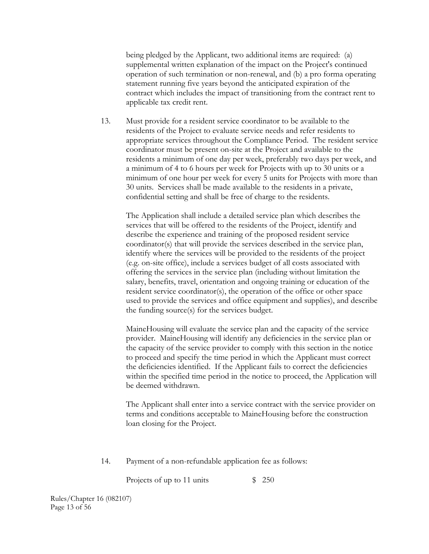being pledged by the Applicant, two additional items are required: (a) supplemental written explanation of the impact on the Project's continued operation of such termination or non-renewal, and (b) a pro forma operating statement running five years beyond the anticipated expiration of the contract which includes the impact of transitioning from the contract rent to applicable tax credit rent.

 13. Must provide for a resident service coordinator to be available to the residents of the Project to evaluate service needs and refer residents to appropriate services throughout the Compliance Period. The resident service coordinator must be present on-site at the Project and available to the residents a minimum of one day per week, preferably two days per week, and a minimum of 4 to 6 hours per week for Projects with up to 30 units or a minimum of one hour per week for every 5 units for Projects with more than 30 units. Services shall be made available to the residents in a private, confidential setting and shall be free of charge to the residents.

 The Application shall include a detailed service plan which describes the services that will be offered to the residents of the Project, identify and describe the experience and training of the proposed resident service coordinator(s) that will provide the services described in the service plan, identify where the services will be provided to the residents of the project (e.g. on-site office), include a services budget of all costs associated with offering the services in the service plan (including without limitation the salary, benefits, travel, orientation and ongoing training or education of the resident service coordinator(s), the operation of the office or other space used to provide the services and office equipment and supplies), and describe the funding source(s) for the services budget.

 MaineHousing will evaluate the service plan and the capacity of the service provider. MaineHousing will identify any deficiencies in the service plan or the capacity of the service provider to comply with this section in the notice to proceed and specify the time period in which the Applicant must correct the deficiencies identified. If the Applicant fails to correct the deficiencies within the specified time period in the notice to proceed, the Application will be deemed withdrawn.

 The Applicant shall enter into a service contract with the service provider on terms and conditions acceptable to MaineHousing before the construction loan closing for the Project.

14. Payment of a non-refundable application fee as follows:

Projects of up to 11 units  $$ 250$ 

Rules/Chapter 16 (082107) Page 13 of 56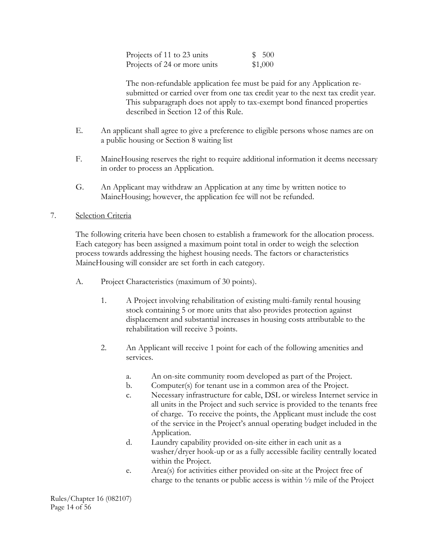| Projects of 11 to 23 units   | \$500   |
|------------------------------|---------|
| Projects of 24 or more units | \$1,000 |

 The non-refundable application fee must be paid for any Application resubmitted or carried over from one tax credit year to the next tax credit year. This subparagraph does not apply to tax-exempt bond financed properties described in Section 12 of this Rule.

- E. An applicant shall agree to give a preference to eligible persons whose names are on a public housing or Section 8 waiting list
- F. MaineHousing reserves the right to require additional information it deems necessary in order to process an Application.
- G. An Applicant may withdraw an Application at any time by written notice to MaineHousing; however, the application fee will not be refunded.

### 7. Selection Criteria

 The following criteria have been chosen to establish a framework for the allocation process. Each category has been assigned a maximum point total in order to weigh the selection process towards addressing the highest housing needs. The factors or characteristics MaineHousing will consider are set forth in each category.

- A. Project Characteristics (maximum of 30 points).
	- 1. A Project involving rehabilitation of existing multi-family rental housing stock containing 5 or more units that also provides protection against displacement and substantial increases in housing costs attributable to the rehabilitation will receive 3 points.
	- 2. An Applicant will receive 1 point for each of the following amenities and services.
		- a. An on-site community room developed as part of the Project.
		- b. Computer(s) for tenant use in a common area of the Project.
		- c. Necessary infrastructure for cable, DSL or wireless Internet service in all units in the Project and such service is provided to the tenants free of charge. To receive the points, the Applicant must include the cost of the service in the Project's annual operating budget included in the Application.
		- d. Laundry capability provided on-site either in each unit as a washer/dryer hook-up or as a fully accessible facility centrally located within the Project.
		- e. Area(s) for activities either provided on-site at the Project free of charge to the tenants or public access is within  $\frac{1}{2}$  mile of the Project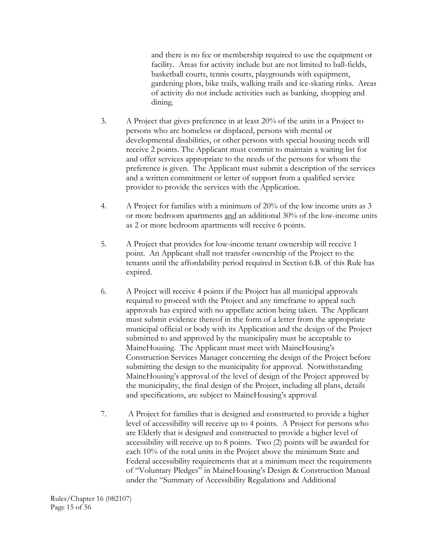and there is no fee or membership required to use the equipment or facility. Areas for activity include but are not limited to ball-fields, basketball courts, tennis courts, playgrounds with equipment, gardening plots, bike trails, walking trails and ice-skating rinks. Areas of activity do not include activities such as banking, shopping and dining.

- 3. A Project that gives preference in at least 20% of the units in a Project to persons who are homeless or displaced, persons with mental or developmental disabilities, or other persons with special housing needs will receive 2 points. The Applicant must commit to maintain a waiting list for and offer services appropriate to the needs of the persons for whom the preference is given. The Applicant must submit a description of the services and a written commitment or letter of support from a qualified service provider to provide the services with the Application.
- 4. A Project for families with a minimum of 20% of the low income units as 3 or more bedroom apartments and an additional 30% of the low-income units as 2 or more bedroom apartments will receive 6 points.
- 5. A Project that provides for low-income tenant ownership will receive 1 point. An Applicant shall not transfer ownership of the Project to the tenants until the affordability period required in Section 6.B. of this Rule has expired.
- 6. A Project will receive 4 points if the Project has all municipal approvals required to proceed with the Project and any timeframe to appeal such approvals has expired with no appellate action being taken. The Applicant must submit evidence thereof in the form of a letter from the appropriate municipal official or body with its Application and the design of the Project submitted to and approved by the municipality must be acceptable to MaineHousing. The Applicant must meet with MaineHousing's Construction Services Manager concerning the design of the Project before submitting the design to the municipality for approval. Notwithstanding MaineHousing's approval of the level of design of the Project approved by the municipality, the final design of the Project, including all plans, details and specifications, are subject to MaineHousing's approval
- 7. A Project for families that is designed and constructed to provide a higher level of accessibility will receive up to 4 points. A Project for persons who are Elderly that is designed and constructed to provide a higher level of accessibility will receive up to 8 points. Two (2) points will be awarded for each 10% of the total units in the Project above the minimum State and Federal accessibility requirements that at a minimum meet the requirements of "Voluntary Pledges" in MaineHousing's Design & Construction Manual under the "Summary of Accessibility Regulations and Additional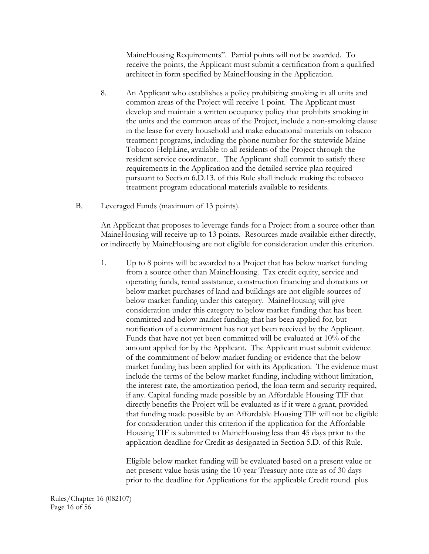MaineHousing Requirements". Partial points will not be awarded. To receive the points, the Applicant must submit a certification from a qualified architect in form specified by MaineHousing in the Application.

- 8. An Applicant who establishes a policy prohibiting smoking in all units and common areas of the Project will receive 1 point. The Applicant must develop and maintain a written occupancy policy that prohibits smoking in the units and the common areas of the Project, include a non-smoking clause in the lease for every household and make educational materials on tobacco treatment programs, including the phone number for the statewide Maine Tobacco HelpLine, available to all residents of the Project through the resident service coordinator.. The Applicant shall commit to satisfy these requirements in the Application and the detailed service plan required pursuant to Section 6.D.13. of this Rule shall include making the tobacco treatment program educational materials available to residents.
- B. Leveraged Funds (maximum of 13 points).

An Applicant that proposes to leverage funds for a Project from a source other than MaineHousing will receive up to 13 points. Resources made available either directly, or indirectly by MaineHousing are not eligible for consideration under this criterion.

1. Up to 8 points will be awarded to a Project that has below market funding from a source other than MaineHousing. Tax credit equity, service and operating funds, rental assistance, construction financing and donations or below market purchases of land and buildings are not eligible sources of below market funding under this category. MaineHousing will give consideration under this category to below market funding that has been committed and below market funding that has been applied for, but notification of a commitment has not yet been received by the Applicant. Funds that have not yet been committed will be evaluated at 10% of the amount applied for by the Applicant. The Applicant must submit evidence of the commitment of below market funding or evidence that the below market funding has been applied for with its Application. The evidence must include the terms of the below market funding, including without limitation, the interest rate, the amortization period, the loan term and security required, if any. Capital funding made possible by an Affordable Housing TIF that directly benefits the Project will be evaluated as if it were a grant, provided that funding made possible by an Affordable Housing TIF will not be eligible for consideration under this criterion if the application for the Affordable Housing TIF is submitted to MaineHousing less than 45 days prior to the application deadline for Credit as designated in Section 5.D. of this Rule.

Eligible below market funding will be evaluated based on a present value or net present value basis using the 10-year Treasury note rate as of 30 days prior to the deadline for Applications for the applicable Credit round plus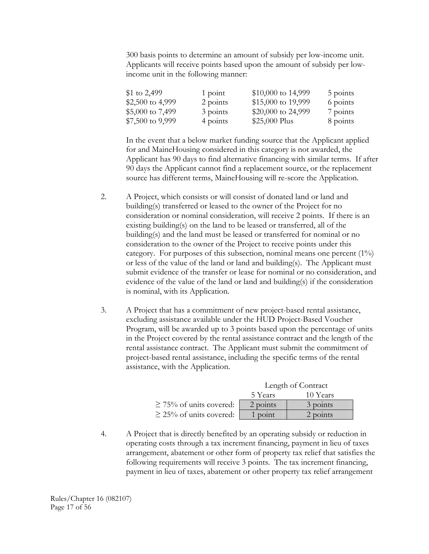300 basis points to determine an amount of subsidy per low-income unit. Applicants will receive points based upon the amount of subsidy per lowincome unit in the following manner:

| $$1$ to 2,499     | 1 point  | \$10,000 to 14,999 | 5 points |
|-------------------|----------|--------------------|----------|
| \$2,500 to 4,999  | 2 points | \$15,000 to 19,999 | 6 points |
| \$5,000 to 7,499  | 3 points | \$20,000 to 24,999 | 7 points |
| $$7,500$ to 9,999 | 4 points | \$25,000 Plus      | 8 points |

In the event that a below market funding source that the Applicant applied for and MaineHousing considered in this category is not awarded, the Applicant has 90 days to find alternative financing with similar terms. If after 90 days the Applicant cannot find a replacement source, or the replacement source has different terms, MaineHousing will re-score the Application.

- 2. A Project, which consists or will consist of donated land or land and building(s) transferred or leased to the owner of the Project for no consideration or nominal consideration, will receive 2 points. If there is an existing building(s) on the land to be leased or transferred, all of the building(s) and the land must be leased or transferred for nominal or no consideration to the owner of the Project to receive points under this category. For purposes of this subsection, nominal means one percent (1%) or less of the value of the land or land and building(s). The Applicant must submit evidence of the transfer or lease for nominal or no consideration, and evidence of the value of the land or land and building(s) if the consideration is nominal, with its Application.
- 3. A Project that has a commitment of new project-based rental assistance, excluding assistance available under the HUD Project-Based Voucher Program, will be awarded up to 3 points based upon the percentage of units in the Project covered by the rental assistance contract and the length of the rental assistance contract. The Applicant must submit the commitment of project-based rental assistance, including the specific terms of the rental assistance, with the Application.

|                              | Length of Contract |            |  |
|------------------------------|--------------------|------------|--|
|                              | 5 Years            | 10 Years   |  |
| $\geq$ 75% of units covered: | 2 points           | 3 points   |  |
| $\geq$ 25% of units covered: | point              | $2$ points |  |

4. A Project that is directly benefited by an operating subsidy or reduction in operating costs through a tax increment financing, payment in lieu of taxes arrangement, abatement or other form of property tax relief that satisfies the following requirements will receive 3 points. The tax increment financing, payment in lieu of taxes, abatement or other property tax relief arrangement

Rules/Chapter 16 (082107) Page 17 of 56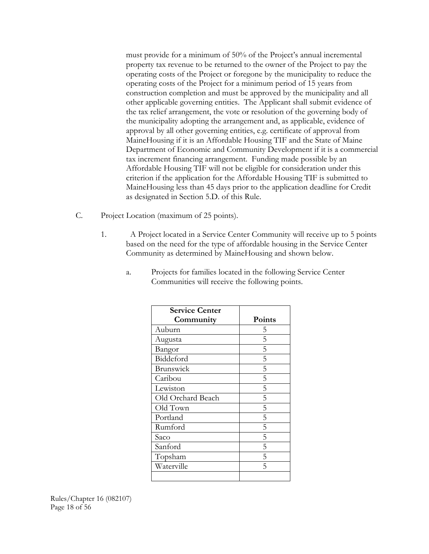must provide for a minimum of 50% of the Project's annual incremental property tax revenue to be returned to the owner of the Project to pay the operating costs of the Project or foregone by the municipality to reduce the operating costs of the Project for a minimum period of 15 years from construction completion and must be approved by the municipality and all other applicable governing entities. The Applicant shall submit evidence of the tax relief arrangement, the vote or resolution of the governing body of the municipality adopting the arrangement and, as applicable, evidence of approval by all other governing entities, e.g. certificate of approval from MaineHousing if it is an Affordable Housing TIF and the State of Maine Department of Economic and Community Development if it is a commercial tax increment financing arrangement. Funding made possible by an Affordable Housing TIF will not be eligible for consideration under this criterion if the application for the Affordable Housing TIF is submitted to MaineHousing less than 45 days prior to the application deadline for Credit as designated in Section 5.D. of this Rule.

- C. Project Location (maximum of 25 points).
	- 1. A Project located in a Service Center Community will receive up to 5 points based on the need for the type of affordable housing in the Service Center Community as determined by MaineHousing and shown below.

| <b>Service Center</b> |        |
|-----------------------|--------|
| Community             | Points |
| Auburn                | 5      |
| Augusta               | 5      |
| Bangor                | 5      |
| Biddeford             | 5      |
| Brunswick             | 5      |
| Caribou               | 5      |
| Lewiston              | 5      |
| Old Orchard Beach     | 5      |
| Old Town              | 5      |
| Portland              | 5      |
| Rumford               | 5      |
| Saco                  | 5      |
| Sanford               | 5      |
| Topsham               | 5      |
| Waterville            | 5      |
|                       |        |

a. Projects for families located in the following Service Center Communities will receive the following points.

Rules/Chapter 16 (082107) Page 18 of 56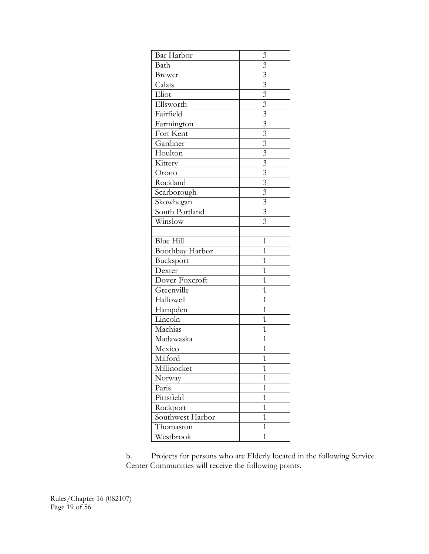| Bar Harbor               | 3                         |
|--------------------------|---------------------------|
| Bath                     | $\mathfrak{Z}$            |
| <b>Brewer</b>            | $\overline{3}$            |
| Calais                   | $\overline{\mathbf{3}}$   |
| Eliot                    | $\overline{\mathbf{3}}$   |
| Ellsworth                | $\overline{\mathbf{3}}$   |
| Fairfield                | $\overline{\mathbf{3}}$   |
| Farmington               |                           |
| Fort Kent                | $\frac{3}{3}$             |
| Gardiner                 | $\overline{\mathbf{3}}$   |
| Houlton                  | $\overline{3}$            |
| Kittery                  | $\overline{\overline{3}}$ |
| Orono                    | $\overline{\mathbf{3}}$   |
| Rockland                 | $\frac{3}{3}$             |
| Scarborough              |                           |
| Skowhegan                | $\overline{\mathbf{3}}$   |
| South Portland           | $\overline{3}$            |
| Winslow                  | $\overline{3}$            |
|                          |                           |
| <b>Blue Hill</b>         | $\mathbf 1$               |
| Boothbay Harbor          | $\mathbf 1$               |
| Bucksport                | $\overline{1}$            |
| Dexter                   | $\overline{1}$            |
| Dover-Foxcroft           | 1                         |
| $\overline{G}$ reenville | $\overline{1}$            |
| Hallowell                | $\overline{1}$            |
| Hampden                  | $\mathbf 1$               |
| Lincoln                  | $\overline{1}$            |
| Machias                  | 1                         |
| Madawaska                | 1                         |
| Mexico                   | $\overline{1}$            |
| Milford                  | $\mathbf{1}$              |
| Millinocket              | 1                         |
| Norway                   | $\overline{1}$            |
| Paris                    | $\mathbf 1$               |
| Pittsfield               | $\mathbf 1$               |
| Rockport                 | $\overline{1}$            |
| Southwest Harbor         | 1                         |
| Thomaston                | $\mathbf 1$               |
| Westbrook                | $\mathbf 1$               |

b. Projects for persons who are Elderly located in the following Service Center Communities will receive the following points.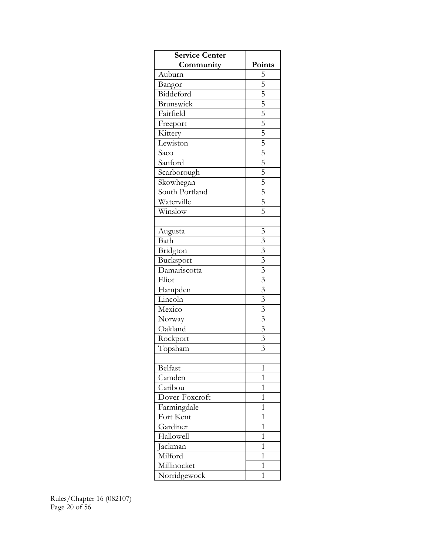| <b>Service Center</b> |                                                                                                                                                           |
|-----------------------|-----------------------------------------------------------------------------------------------------------------------------------------------------------|
| Community             | Points                                                                                                                                                    |
| Auburn                | $\overline{5}$                                                                                                                                            |
| Bangor                |                                                                                                                                                           |
| Biddeford             |                                                                                                                                                           |
| Brunswick             |                                                                                                                                                           |
| Fairfield             |                                                                                                                                                           |
| Freeport              |                                                                                                                                                           |
| Kittery               |                                                                                                                                                           |
| Lewiston              | $\frac{5}{5}$ $\frac{5}{5}$ $\frac{5}{5}$ $\frac{5}{5}$ $\frac{5}{5}$ $\frac{5}{5}$ $\frac{5}{5}$ $\frac{5}{5}$ $\frac{5}{5}$ $\frac{5}{5}$ $\frac{5}{5}$ |
| Saco                  |                                                                                                                                                           |
| Sanford               |                                                                                                                                                           |
| Scarborough           |                                                                                                                                                           |
| Skowhegan             |                                                                                                                                                           |
| South Portland        |                                                                                                                                                           |
| Waterville            |                                                                                                                                                           |
| Winslow               |                                                                                                                                                           |
|                       |                                                                                                                                                           |
| Augusta               | $\overline{\mathbf{3}}$                                                                                                                                   |
| Bath                  | $\overline{\overline{3}}$                                                                                                                                 |
| Bridgton              |                                                                                                                                                           |
| Bucksport             | $\frac{3}{3}$ $\frac{3}{3}$                                                                                                                               |
| Damariscotta          |                                                                                                                                                           |
| Eliot                 | $\overline{\mathfrak{Z}}$                                                                                                                                 |
| Hampden               | $\overline{3}$                                                                                                                                            |
| Lincoln               | $\overline{\mathbf{3}}$                                                                                                                                   |
| Mexico                |                                                                                                                                                           |
| Norway                |                                                                                                                                                           |
| Oakland               | $\frac{3}{3}$ $\frac{3}{3}$                                                                                                                               |
| Rockport              |                                                                                                                                                           |
| Topsham               | $\overline{3}$                                                                                                                                            |
|                       |                                                                                                                                                           |
| Belfast               | 1                                                                                                                                                         |
| Camden                | 1                                                                                                                                                         |
| Caribou               | 1                                                                                                                                                         |
| Dover-Foxcroft        | $\mathbf 1$                                                                                                                                               |
| Farmingdale           | 1                                                                                                                                                         |
| Fort Kent             | $\overline{1}$                                                                                                                                            |
| Gardiner              | $\mathbf 1$                                                                                                                                               |
| Hallowell             | 1                                                                                                                                                         |
| Jackman               | 1                                                                                                                                                         |
| Milford               | $\mathbf 1$                                                                                                                                               |
| Millinocket           | 1                                                                                                                                                         |
| Norridgewock          | $\mathbf 1$                                                                                                                                               |

Rules/Chapter 16 (082107) Page 20 of 56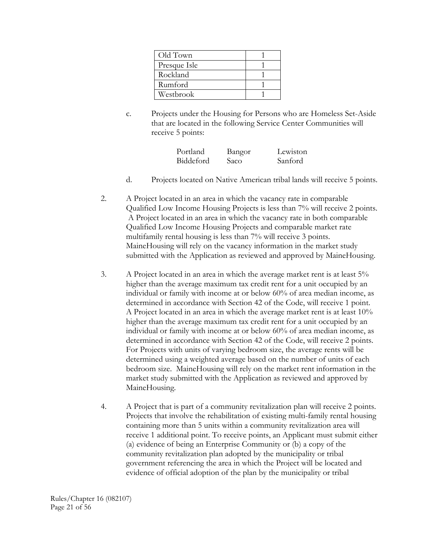| Old Town     |  |
|--------------|--|
| Presque Isle |  |
| Rockland     |  |
| Rumford      |  |
| Westbrook    |  |

c. Projects under the Housing for Persons who are Homeless Set-Aside that are located in the following Service Center Communities will receive 5 points:

| Portland  | Bangor | Lewiston |
|-----------|--------|----------|
| Biddeford | Saco   | Sanford  |

- d. Projects located on Native American tribal lands will receive 5 points.
- 2. A Project located in an area in which the vacancy rate in comparable Qualified Low Income Housing Projects is less than 7% will receive 2 points. A Project located in an area in which the vacancy rate in both comparable Qualified Low Income Housing Projects and comparable market rate multifamily rental housing is less than 7% will receive 3 points. MaineHousing will rely on the vacancy information in the market study submitted with the Application as reviewed and approved by MaineHousing.
- 3. A Project located in an area in which the average market rent is at least 5% higher than the average maximum tax credit rent for a unit occupied by an individual or family with income at or below 60% of area median income, as determined in accordance with Section 42 of the Code, will receive 1 point. A Project located in an area in which the average market rent is at least 10% higher than the average maximum tax credit rent for a unit occupied by an individual or family with income at or below 60% of area median income, as determined in accordance with Section 42 of the Code, will receive 2 points. For Projects with units of varying bedroom size, the average rents will be determined using a weighted average based on the number of units of each bedroom size. MaineHousing will rely on the market rent information in the market study submitted with the Application as reviewed and approved by MaineHousing.
- 4. A Project that is part of a community revitalization plan will receive 2 points. Projects that involve the rehabilitation of existing multi-family rental housing containing more than 5 units within a community revitalization area will receive 1 additional point. To receive points, an Applicant must submit either (a) evidence of being an Enterprise Community or (b) a copy of the community revitalization plan adopted by the municipality or tribal government referencing the area in which the Project will be located and evidence of official adoption of the plan by the municipality or tribal

Rules/Chapter 16 (082107) Page 21 of 56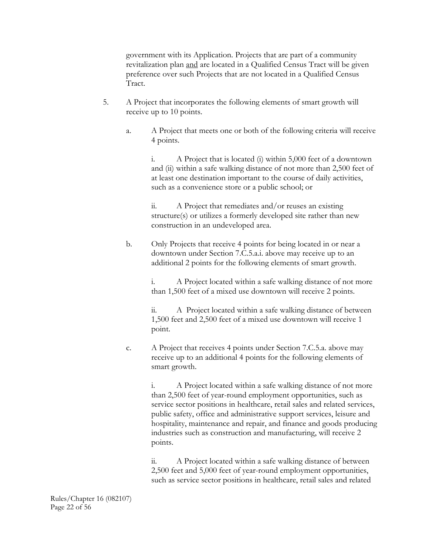government with its Application. Projects that are part of a community revitalization plan and are located in a Qualified Census Tract will be given preference over such Projects that are not located in a Qualified Census Tract.

- 5. A Project that incorporates the following elements of smart growth will receive up to 10 points.
	- a. A Project that meets one or both of the following criteria will receive 4 points.

 i. A Project that is located (i) within 5,000 feet of a downtown and (ii) within a safe walking distance of not more than 2,500 feet of at least one destination important to the course of daily activities, such as a convenience store or a public school; or

 ii. A Project that remediates and/or reuses an existing structure(s) or utilizes a formerly developed site rather than new construction in an undeveloped area.

b. Only Projects that receive 4 points for being located in or near a downtown under Section 7.C.5.a.i. above may receive up to an additional 2 points for the following elements of smart growth.

> i. A Project located within a safe walking distance of not more than 1,500 feet of a mixed use downtown will receive 2 points.

> ii. A Project located within a safe walking distance of between 1,500 feet and 2,500 feet of a mixed use downtown will receive 1 point.

 c. A Project that receives 4 points under Section 7.C.5.a. above may receive up to an additional 4 points for the following elements of smart growth.

> i. A Project located within a safe walking distance of not more than 2,500 feet of year-round employment opportunities, such as service sector positions in healthcare, retail sales and related services, public safety, office and administrative support services, leisure and hospitality, maintenance and repair, and finance and goods producing industries such as construction and manufacturing, will receive 2 points.

ii. A Project located within a safe walking distance of between 2,500 feet and 5,000 feet of year-round employment opportunities, such as service sector positions in healthcare, retail sales and related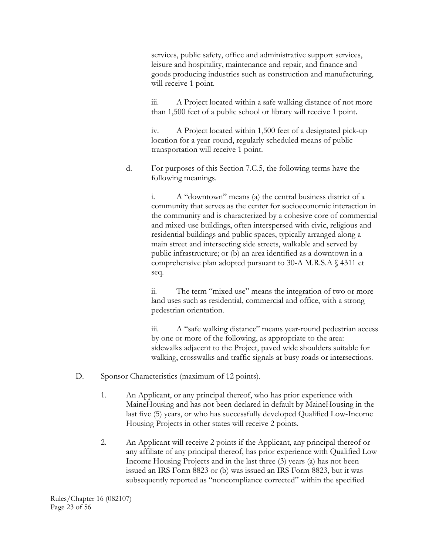services, public safety, office and administrative support services, leisure and hospitality, maintenance and repair, and finance and goods producing industries such as construction and manufacturing, will receive 1 point.

iii. A Project located within a safe walking distance of not more than 1,500 feet of a public school or library will receive 1 point.

iv. A Project located within 1,500 feet of a designated pick-up location for a year-round, regularly scheduled means of public transportation will receive 1 point.

d. For purposes of this Section 7.C.5, the following terms have the following meanings.

> i. A "downtown" means (a) the central business district of a community that serves as the center for socioeconomic interaction in the community and is characterized by a cohesive core of commercial and mixed-use buildings, often interspersed with civic, religious and residential buildings and public spaces, typically arranged along a main street and intersecting side streets, walkable and served by public infrastructure; or (b) an area identified as a downtown in a comprehensive plan adopted pursuant to 30-A M.R.S.A § 4311 et seq.

ii. The term "mixed use" means the integration of two or more land uses such as residential, commercial and office, with a strong pedestrian orientation.

 iii. A "safe walking distance" means year-round pedestrian access by one or more of the following, as appropriate to the area: sidewalks adjacent to the Project, paved wide shoulders suitable for walking, crosswalks and traffic signals at busy roads or intersections.

- D. Sponsor Characteristics (maximum of 12 points).
	- 1. An Applicant, or any principal thereof, who has prior experience with MaineHousing and has not been declared in default by MaineHousing in the last five (5) years, or who has successfully developed Qualified Low-Income Housing Projects in other states will receive 2 points.
	- 2. An Applicant will receive 2 points if the Applicant, any principal thereof or any affiliate of any principal thereof, has prior experience with Qualified Low Income Housing Projects and in the last three (3) years (a) has not been issued an IRS Form 8823 or (b) was issued an IRS Form 8823, but it was subsequently reported as "noncompliance corrected" within the specified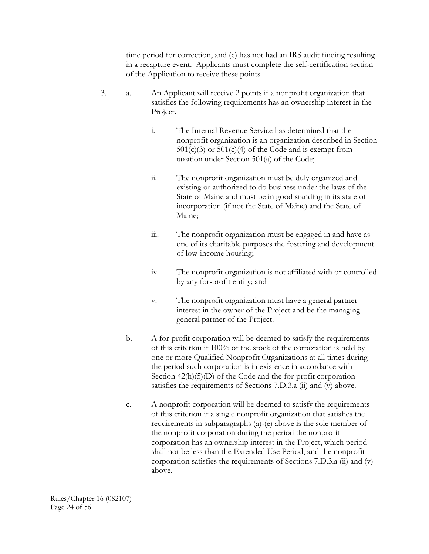time period for correction, and (c) has not had an IRS audit finding resulting in a recapture event. Applicants must complete the self-certification section of the Application to receive these points.

- 3. a. An Applicant will receive 2 points if a nonprofit organization that satisfies the following requirements has an ownership interest in the Project.
	- i. The Internal Revenue Service has determined that the nonprofit organization is an organization described in Section  $501(c)(3)$  or  $501(c)(4)$  of the Code and is exempt from taxation under Section 501(a) of the Code;
	- ii. The nonprofit organization must be duly organized and existing or authorized to do business under the laws of the State of Maine and must be in good standing in its state of incorporation (if not the State of Maine) and the State of Maine;
	- iii. The nonprofit organization must be engaged in and have as one of its charitable purposes the fostering and development of low-income housing;
	- iv. The nonprofit organization is not affiliated with or controlled by any for-profit entity; and
	- v. The nonprofit organization must have a general partner interest in the owner of the Project and be the managing general partner of the Project.
	- b. A for-profit corporation will be deemed to satisfy the requirements of this criterion if 100% of the stock of the corporation is held by one or more Qualified Nonprofit Organizations at all times during the period such corporation is in existence in accordance with Section  $42(h)(5)(D)$  of the Code and the for-profit corporation satisfies the requirements of Sections 7.D.3.a (ii) and (v) above.
	- c. A nonprofit corporation will be deemed to satisfy the requirements of this criterion if a single nonprofit organization that satisfies the requirements in subparagraphs (a)-(e) above is the sole member of the nonprofit corporation during the period the nonprofit corporation has an ownership interest in the Project, which period shall not be less than the Extended Use Period, and the nonprofit corporation satisfies the requirements of Sections 7.D.3.a (ii) and (v) above.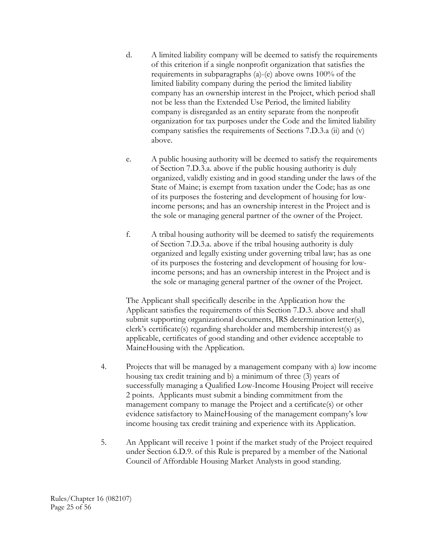- d. A limited liability company will be deemed to satisfy the requirements of this criterion if a single nonprofit organization that satisfies the requirements in subparagraphs (a)-(e) above owns 100% of the limited liability company during the period the limited liability company has an ownership interest in the Project, which period shall not be less than the Extended Use Period, the limited liability company is disregarded as an entity separate from the nonprofit organization for tax purposes under the Code and the limited liability company satisfies the requirements of Sections 7.D.3.a (ii) and (v) above.
- e. A public housing authority will be deemed to satisfy the requirements of Section 7.D.3.a. above if the public housing authority is duly organized, validly existing and in good standing under the laws of the State of Maine; is exempt from taxation under the Code; has as one of its purposes the fostering and development of housing for lowincome persons; and has an ownership interest in the Project and is the sole or managing general partner of the owner of the Project.
- f. A tribal housing authority will be deemed to satisfy the requirements of Section 7.D.3.a. above if the tribal housing authority is duly organized and legally existing under governing tribal law; has as one of its purposes the fostering and development of housing for lowincome persons; and has an ownership interest in the Project and is the sole or managing general partner of the owner of the Project.

The Applicant shall specifically describe in the Application how the Applicant satisfies the requirements of this Section 7.D.3. above and shall submit supporting organizational documents, IRS determination letter(s), clerk's certificate(s) regarding shareholder and membership interest(s) as applicable, certificates of good standing and other evidence acceptable to MaineHousing with the Application.

- 4. Projects that will be managed by a management company with a) low income housing tax credit training and b) a minimum of three (3) years of successfully managing a Qualified Low-Income Housing Project will receive 2 points. Applicants must submit a binding commitment from the management company to manage the Project and a certificate(s) or other evidence satisfactory to MaineHousing of the management company's low income housing tax credit training and experience with its Application.
- 5. An Applicant will receive 1 point if the market study of the Project required under Section 6.D.9. of this Rule is prepared by a member of the National Council of Affordable Housing Market Analysts in good standing.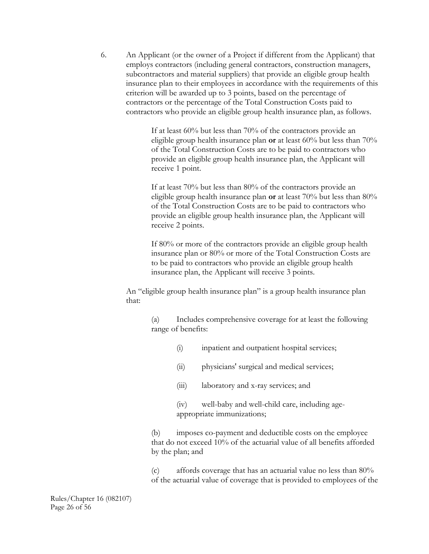6. An Applicant (or the owner of a Project if different from the Applicant) that employs contractors (including general contractors, construction managers, subcontractors and material suppliers) that provide an eligible group health insurance plan to their employees in accordance with the requirements of this criterion will be awarded up to 3 points, based on the percentage of contractors or the percentage of the Total Construction Costs paid to contractors who provide an eligible group health insurance plan, as follows.

> If at least 60% but less than 70% of the contractors provide an eligible group health insurance plan **or** at least 60% but less than 70% of the Total Construction Costs are to be paid to contractors who provide an eligible group health insurance plan, the Applicant will receive 1 point.

> If at least 70% but less than 80% of the contractors provide an eligible group health insurance plan **or** at least 70% but less than 80% of the Total Construction Costs are to be paid to contractors who provide an eligible group health insurance plan, the Applicant will receive 2 points.

If 80% or more of the contractors provide an eligible group health insurance plan or 80% or more of the Total Construction Costs are to be paid to contractors who provide an eligible group health insurance plan, the Applicant will receive 3 points.

An "eligible group health insurance plan" is a group health insurance plan that:

> (a) Includes comprehensive coverage for at least the following range of benefits:

- (i) inpatient and outpatient hospital services;
- (ii) physicians' surgical and medical services;
- (iii) laboratory and x-ray services; and
- (iv) well-baby and well-child care, including ageappropriate immunizations;

(b) imposes co-payment and deductible costs on the employee that do not exceed 10% of the actuarial value of all benefits afforded by the plan; and

(c) affords coverage that has an actuarial value no less than 80% of the actuarial value of coverage that is provided to employees of the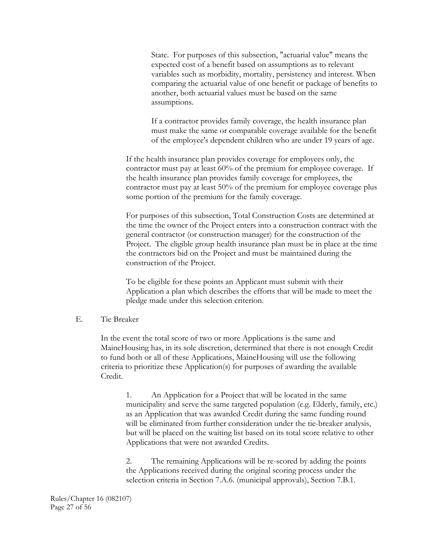State. For purposes of this subsection, "actuarial value" means the expected cost of a benefit based on assumptions as to relevant variables such as morbidity, mortality, persistency and interest. When comparing the actuarial value of one benefit or package of benefits to another, both actuarial values must be based on the same assumptions.

If a contractor provides family coverage, the health insurance plan must make the same or comparable coverage available for the benefit of the employee's dependent children who are under 19 years of age.

If the health insurance plan provides coverage for employees only, the contractor must pay at least 60% of the premium for employee coverage. If the health insurance plan provides family coverage for employees, the contractor must pay at least 50% of the premium for employee coverage plus some portion of the premium for the family coverage.

For purposes of this subsection, Total Construction Costs are determined at the time the owner of the Project enters into a construction contract with the general contractor (or construction manager) for the construction of the Project. The eligible group health insurance plan must be in place at the time the contractors bid on the Project and must be maintained during the construction of the Project.

To be eligible for these points an Applicant must submit with their Application a plan which describes the efforts that will be made to meet the pledge made under this selection criterion.

#### E. Tie Breaker

 In the event the total score of two or more Applications is the same and MaineHousing has, in its sole discretion, determined that there is not enough Credit to fund both or all of these Applications, MaineHousing will use the following criteria to prioritize these Application(s) for purposes of awarding the available Credit.

 1. An Application for a Project that will be located in the same municipality and serve the same targeted population (e.g. Elderly, family, etc.) as an Application that was awarded Credit during the same funding round will be eliminated from further consideration under the tie-breaker analysis, but will be placed on the waiting list based on its total score relative to other Applications that were not awarded Credits.

2. The remaining Applications will be re-scored by adding the points the Applications received during the original scoring process under the selection criteria in Section 7.A.6. (municipal approvals), Section 7.B.1.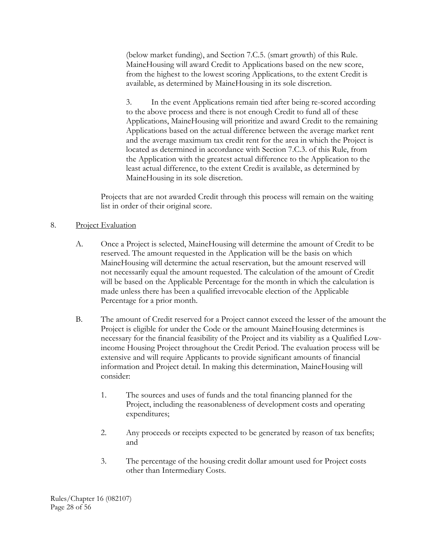(below market funding), and Section 7.C.5. (smart growth) of this Rule. MaineHousing will award Credit to Applications based on the new score, from the highest to the lowest scoring Applications, to the extent Credit is available, as determined by MaineHousing in its sole discretion.

3. In the event Applications remain tied after being re-scored according to the above process and there is not enough Credit to fund all of these Applications, MaineHousing will prioritize and award Credit to the remaining Applications based on the actual difference between the average market rent and the average maximum tax credit rent for the area in which the Project is located as determined in accordance with Section 7.C.3. of this Rule, from the Application with the greatest actual difference to the Application to the least actual difference, to the extent Credit is available, as determined by MaineHousing in its sole discretion.

Projects that are not awarded Credit through this process will remain on the waiting list in order of their original score.

# 8. Project Evaluation

- A. Once a Project is selected, MaineHousing will determine the amount of Credit to be reserved. The amount requested in the Application will be the basis on which MaineHousing will determine the actual reservation, but the amount reserved will not necessarily equal the amount requested. The calculation of the amount of Credit will be based on the Applicable Percentage for the month in which the calculation is made unless there has been a qualified irrevocable election of the Applicable Percentage for a prior month.
- B. The amount of Credit reserved for a Project cannot exceed the lesser of the amount the Project is eligible for under the Code or the amount MaineHousing determines is necessary for the financial feasibility of the Project and its viability as a Qualified Lowincome Housing Project throughout the Credit Period. The evaluation process will be extensive and will require Applicants to provide significant amounts of financial information and Project detail. In making this determination, MaineHousing will consider:
	- 1. The sources and uses of funds and the total financing planned for the Project, including the reasonableness of development costs and operating expenditures;
	- 2. Any proceeds or receipts expected to be generated by reason of tax benefits; and
	- 3. The percentage of the housing credit dollar amount used for Project costs other than Intermediary Costs.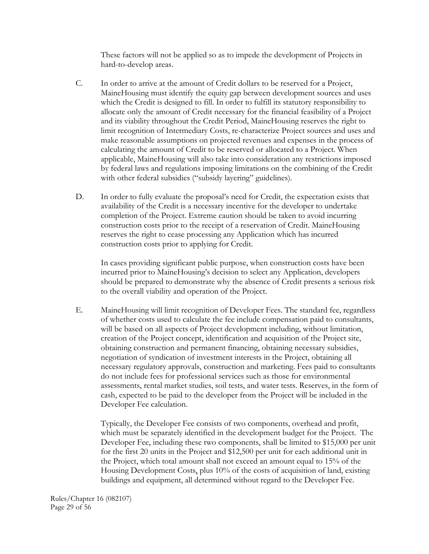These factors will not be applied so as to impede the development of Projects in hard-to-develop areas.

- C. In order to arrive at the amount of Credit dollars to be reserved for a Project, MaineHousing must identify the equity gap between development sources and uses which the Credit is designed to fill. In order to fulfill its statutory responsibility to allocate only the amount of Credit necessary for the financial feasibility of a Project and its viability throughout the Credit Period, MaineHousing reserves the right to limit recognition of Intermediary Costs, re-characterize Project sources and uses and make reasonable assumptions on projected revenues and expenses in the process of calculating the amount of Credit to be reserved or allocated to a Project. When applicable, MaineHousing will also take into consideration any restrictions imposed by federal laws and regulations imposing limitations on the combining of the Credit with other federal subsidies ("subsidy layering" guidelines).
- D. In order to fully evaluate the proposal's need for Credit, the expectation exists that availability of the Credit is a necessary incentive for the developer to undertake completion of the Project. Extreme caution should be taken to avoid incurring construction costs prior to the receipt of a reservation of Credit. MaineHousing reserves the right to cease processing any Application which has incurred construction costs prior to applying for Credit.

 In cases providing significant public purpose, when construction costs have been incurred prior to MaineHousing's decision to select any Application, developers should be prepared to demonstrate why the absence of Credit presents a serious risk to the overall viability and operation of the Project.

 E. MaineHousing will limit recognition of Developer Fees. The standard fee, regardless of whether costs used to calculate the fee include compensation paid to consultants, will be based on all aspects of Project development including, without limitation, creation of the Project concept, identification and acquisition of the Project site, obtaining construction and permanent financing, obtaining necessary subsidies, negotiation of syndication of investment interests in the Project, obtaining all necessary regulatory approvals, construction and marketing. Fees paid to consultants do not include fees for professional services such as those for environmental assessments, rental market studies, soil tests, and water tests. Reserves, in the form of cash, expected to be paid to the developer from the Project will be included in the Developer Fee calculation.

 Typically, the Developer Fee consists of two components, overhead and profit, which must be separately identified in the development budget for the Project. The Developer Fee, including these two components, shall be limited to \$15,000 per unit for the first 20 units in the Project and \$12,500 per unit for each additional unit in the Project, which total amount shall not exceed an amount equal to 15% of the Housing Development Costs, plus 10% of the costs of acquisition of land, existing buildings and equipment, all determined without regard to the Developer Fee.

Rules/Chapter 16 (082107) Page 29 of 56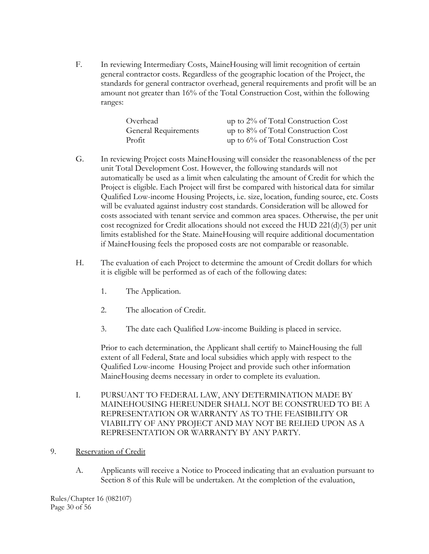F. In reviewing Intermediary Costs, MaineHousing will limit recognition of certain general contractor costs. Regardless of the geographic location of the Project, the standards for general contractor overhead, general requirements and profit will be an amount not greater than 16% of the Total Construction Cost, within the following ranges:

| Overhead                    | up to $2\%$ of Total Construction Cost |
|-----------------------------|----------------------------------------|
| <b>General Requirements</b> | up to $8\%$ of Total Construction Cost |
| Profit                      | up to $6\%$ of Total Construction Cost |

- G. In reviewing Project costs MaineHousing will consider the reasonableness of the per unit Total Development Cost. However, the following standards will not automatically be used as a limit when calculating the amount of Credit for which the Project is eligible. Each Project will first be compared with historical data for similar Qualified Low-income Housing Projects, i.e. size, location, funding source, etc. Costs will be evaluated against industry cost standards. Consideration will be allowed for costs associated with tenant service and common area spaces. Otherwise, the per unit cost recognized for Credit allocations should not exceed the HUD 221(d)(3) per unit limits established for the State. MaineHousing will require additional documentation if MaineHousing feels the proposed costs are not comparable or reasonable.
- H. The evaluation of each Project to determine the amount of Credit dollars for which it is eligible will be performed as of each of the following dates:
	- 1. The Application.
	- 2. The allocation of Credit.
	- 3. The date each Qualified Low-income Building is placed in service.

 Prior to each determination, the Applicant shall certify to MaineHousing the full extent of all Federal, State and local subsidies which apply with respect to the Qualified Low-income Housing Project and provide such other information MaineHousing deems necessary in order to complete its evaluation.

- I. PURSUANT TO FEDERAL LAW, ANY DETERMINATION MADE BY MAINEHOUSING HEREUNDER SHALL NOT BE CONSTRUED TO BE A REPRESENTATION OR WARRANTY AS TO THE FEASIBILITY OR VIABILITY OF ANY PROJECT AND MAY NOT BE RELIED UPON AS A REPRESENTATION OR WARRANTY BY ANY PARTY.
- 9. Reservation of Credit
	- A. Applicants will receive a Notice to Proceed indicating that an evaluation pursuant to Section 8 of this Rule will be undertaken. At the completion of the evaluation,

Rules/Chapter 16 (082107) Page 30 of 56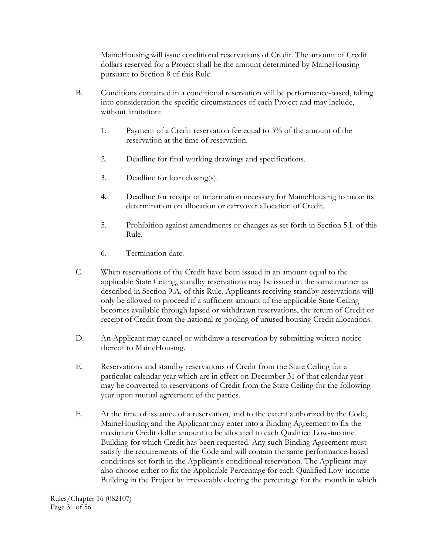MaineHousing will issue conditional reservations of Credit. The amount of Credit dollars reserved for a Project shall be the amount determined by MaineHousing pursuant to Section 8 of this Rule.

- B. Conditions contained in a conditional reservation will be performance-based, taking into consideration the specific circumstances of each Project and may include, without limitation:
	- 1. Payment of a Credit reservation fee equal to 3% of the amount of the reservation at the time of reservation.
	- 2. Deadline for final working drawings and specifications.
	- 3. Deadline for loan closing(s).
	- 4. Deadline for receipt of information necessary for MaineHousing to make its determination on allocation or carryover allocation of Credit.
	- 5. Prohibition against amendments or changes as set forth in Section 5.I. of this Rule.
	- 6. Termination date.
- C. When reservations of the Credit have been issued in an amount equal to the applicable State Ceiling, standby reservations may be issued in the same manner as described in Section 9.A. of this Rule. Applicants receiving standby reservations will only be allowed to proceed if a sufficient amount of the applicable State Ceiling becomes available through lapsed or withdrawn reservations, the return of Credit or receipt of Credit from the national re-pooling of unused housing Credit allocations.
- D. An Applicant may cancel or withdraw a reservation by submitting written notice thereof to MaineHousing.
- E. Reservations and standby reservations of Credit from the State Ceiling for a particular calendar year which are in effect on December 31 of that calendar year may be converted to reservations of Credit from the State Ceiling for the following year upon mutual agreement of the parties.
- F. At the time of issuance of a reservation, and to the extent authorized by the Code, MaineHousing and the Applicant may enter into a Binding Agreement to fix the maximum Credit dollar amount to be allocated to each Qualified Low-income Building for which Credit has been requested. Any such Binding Agreement must satisfy the requirements of the Code and will contain the same performance-based conditions set forth in the Applicant's conditional reservation. The Applicant may also choose either to fix the Applicable Percentage for each Qualified Low-income Building in the Project by irrevocably electing the percentage for the month in which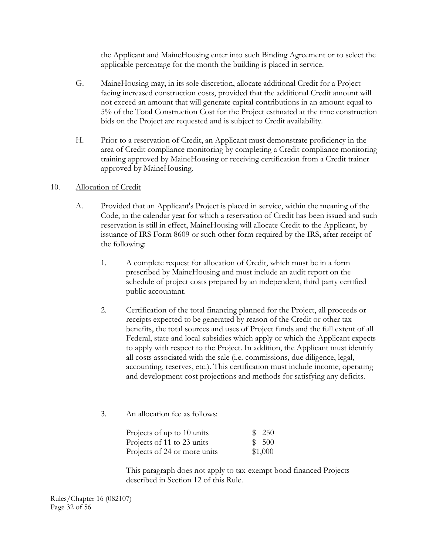the Applicant and MaineHousing enter into such Binding Agreement or to select the applicable percentage for the month the building is placed in service.

- G. MaineHousing may, in its sole discretion, allocate additional Credit for a Project facing increased construction costs, provided that the additional Credit amount will not exceed an amount that will generate capital contributions in an amount equal to 5% of the Total Construction Cost for the Project estimated at the time construction bids on the Project are requested and is subject to Credit availability.
- H. Prior to a reservation of Credit, an Applicant must demonstrate proficiency in the area of Credit compliance monitoring by completing a Credit compliance monitoring training approved by MaineHousing or receiving certification from a Credit trainer approved by MaineHousing.

# 10. Allocation of Credit

- A. Provided that an Applicant's Project is placed in service, within the meaning of the Code, in the calendar year for which a reservation of Credit has been issued and such reservation is still in effect, MaineHousing will allocate Credit to the Applicant, by issuance of IRS Form 8609 or such other form required by the IRS, after receipt of the following:
	- 1. A complete request for allocation of Credit, which must be in a form prescribed by MaineHousing and must include an audit report on the schedule of project costs prepared by an independent, third party certified public accountant.
	- 2. Certification of the total financing planned for the Project, all proceeds or receipts expected to be generated by reason of the Credit or other tax benefits, the total sources and uses of Project funds and the full extent of all Federal, state and local subsidies which apply or which the Applicant expects to apply with respect to the Project. In addition, the Applicant must identify all costs associated with the sale (i.e. commissions, due diligence, legal, accounting, reserves, etc.). This certification must include income, operating and development cost projections and methods for satisfying any deficits.
	- 3. An allocation fee as follows:

| Projects of up to 10 units   | \$250   |
|------------------------------|---------|
| Projects of 11 to 23 units   | \$ 500  |
| Projects of 24 or more units | \$1,000 |

 This paragraph does not apply to tax-exempt bond financed Projects described in Section 12 of this Rule.

Rules/Chapter 16 (082107) Page 32 of 56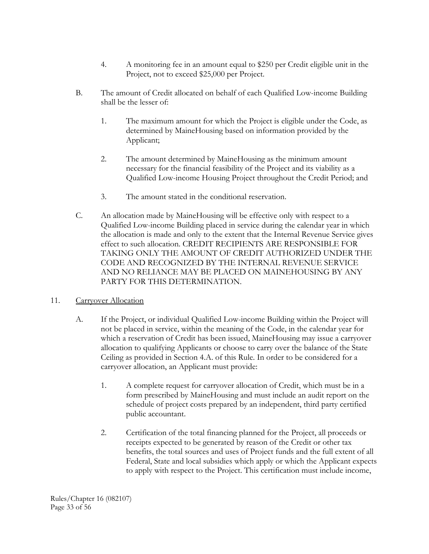- 4. A monitoring fee in an amount equal to \$250 per Credit eligible unit in the Project, not to exceed \$25,000 per Project.
- B. The amount of Credit allocated on behalf of each Qualified Low-income Building shall be the lesser of:
	- 1. The maximum amount for which the Project is eligible under the Code, as determined by MaineHousing based on information provided by the Applicant;
	- 2. The amount determined by MaineHousing as the minimum amount necessary for the financial feasibility of the Project and its viability as a Qualified Low-income Housing Project throughout the Credit Period; and
	- 3. The amount stated in the conditional reservation.
- C. An allocation made by MaineHousing will be effective only with respect to a Qualified Low-income Building placed in service during the calendar year in which the allocation is made and only to the extent that the Internal Revenue Service gives effect to such allocation. CREDIT RECIPIENTS ARE RESPONSIBLE FOR TAKING ONLY THE AMOUNT OF CREDIT AUTHORIZED UNDER THE CODE AND RECOGNIZED BY THE INTERNAL REVENUE SERVICE AND NO RELIANCE MAY BE PLACED ON MAINEHOUSING BY ANY PARTY FOR THIS DETERMINATION.

### 11. Carryover Allocation

- A. If the Project, or individual Qualified Low-income Building within the Project will not be placed in service, within the meaning of the Code, in the calendar year for which a reservation of Credit has been issued, MaineHousing may issue a carryover allocation to qualifying Applicants or choose to carry over the balance of the State Ceiling as provided in Section 4.A. of this Rule. In order to be considered for a carryover allocation, an Applicant must provide:
	- 1. A complete request for carryover allocation of Credit, which must be in a form prescribed by MaineHousing and must include an audit report on the schedule of project costs prepared by an independent, third party certified public accountant.
	- 2. Certification of the total financing planned for the Project, all proceeds or receipts expected to be generated by reason of the Credit or other tax benefits, the total sources and uses of Project funds and the full extent of all Federal, State and local subsidies which apply or which the Applicant expects to apply with respect to the Project. This certification must include income,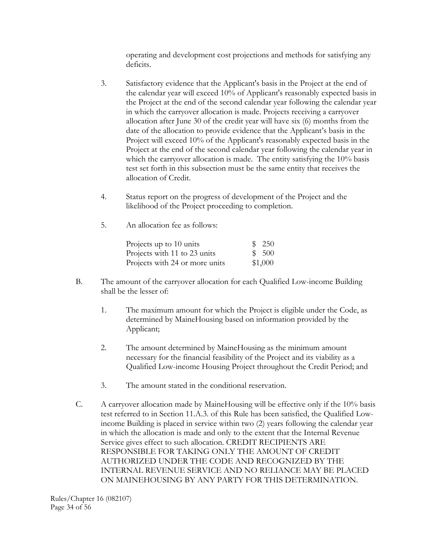operating and development cost projections and methods for satisfying any deficits.

- 3. Satisfactory evidence that the Applicant's basis in the Project at the end of the calendar year will exceed 10% of Applicant's reasonably expected basis in the Project at the end of the second calendar year following the calendar year in which the carryover allocation is made. Projects receiving a carryover allocation after June 30 of the credit year will have six (6) months from the date of the allocation to provide evidence that the Applicant's basis in the Project will exceed 10% of the Applicant's reasonably expected basis in the Project at the end of the second calendar year following the calendar year in which the carryover allocation is made. The entity satisfying the 10% basis test set forth in this subsection must be the same entity that receives the allocation of Credit.
- 4. Status report on the progress of development of the Project and the likelihood of the Project proceeding to completion.
- 5. An allocation fee as follows:

| Projects up to 10 units        | \$250   |
|--------------------------------|---------|
| Projects with 11 to 23 units   | \$500   |
| Projects with 24 or more units | \$1,000 |

- B. The amount of the carryover allocation for each Qualified Low-income Building shall be the lesser of:
	- 1. The maximum amount for which the Project is eligible under the Code, as determined by MaineHousing based on information provided by the Applicant;
	- 2. The amount determined by MaineHousing as the minimum amount necessary for the financial feasibility of the Project and its viability as a Qualified Low-income Housing Project throughout the Credit Period; and
	- 3. The amount stated in the conditional reservation.
- C. A carryover allocation made by MaineHousing will be effective only if the 10% basis test referred to in Section 11.A.3. of this Rule has been satisfied, the Qualified Lowincome Building is placed in service within two (2) years following the calendar year in which the allocation is made and only to the extent that the Internal Revenue Service gives effect to such allocation. CREDIT RECIPIENTS ARE RESPONSIBLE FOR TAKING ONLY THE AMOUNT OF CREDIT AUTHORIZED UNDER THE CODE AND RECOGNIZED BY THE INTERNAL REVENUE SERVICE AND NO RELIANCE MAY BE PLACED ON MAINEHOUSING BY ANY PARTY FOR THIS DETERMINATION.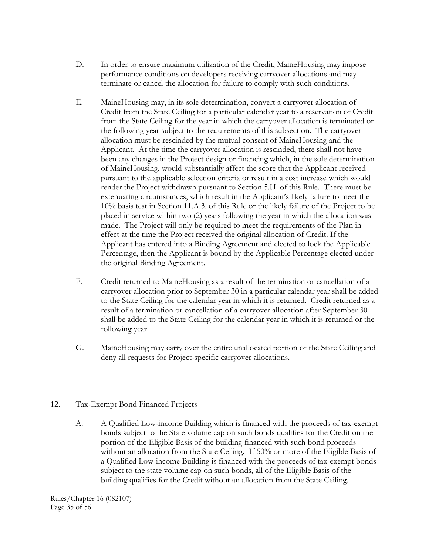- D. In order to ensure maximum utilization of the Credit, MaineHousing may impose performance conditions on developers receiving carryover allocations and may terminate or cancel the allocation for failure to comply with such conditions.
- E. MaineHousing may, in its sole determination, convert a carryover allocation of Credit from the State Ceiling for a particular calendar year to a reservation of Credit from the State Ceiling for the year in which the carryover allocation is terminated or the following year subject to the requirements of this subsection. The carryover allocation must be rescinded by the mutual consent of MaineHousing and the Applicant. At the time the carryover allocation is rescinded, there shall not have been any changes in the Project design or financing which, in the sole determination of MaineHousing, would substantially affect the score that the Applicant received pursuant to the applicable selection criteria or result in a cost increase which would render the Project withdrawn pursuant to Section 5.H. of this Rule. There must be extenuating circumstances, which result in the Applicant's likely failure to meet the 10% basis test in Section 11.A.3. of this Rule or the likely failure of the Project to be placed in service within two (2) years following the year in which the allocation was made. The Project will only be required to meet the requirements of the Plan in effect at the time the Project received the original allocation of Credit. If the Applicant has entered into a Binding Agreement and elected to lock the Applicable Percentage, then the Applicant is bound by the Applicable Percentage elected under the original Binding Agreement.
- F. Credit returned to MaineHousing as a result of the termination or cancellation of a carryover allocation prior to September 30 in a particular calendar year shall be added to the State Ceiling for the calendar year in which it is returned. Credit returned as a result of a termination or cancellation of a carryover allocation after September 30 shall be added to the State Ceiling for the calendar year in which it is returned or the following year.
- G. MaineHousing may carry over the entire unallocated portion of the State Ceiling and deny all requests for Project-specific carryover allocations.

### 12. Tax-Exempt Bond Financed Projects

 A. A Qualified Low-income Building which is financed with the proceeds of tax-exempt bonds subject to the State volume cap on such bonds qualifies for the Credit on the portion of the Eligible Basis of the building financed with such bond proceeds without an allocation from the State Ceiling. If 50% or more of the Eligible Basis of a Qualified Low-income Building is financed with the proceeds of tax-exempt bonds subject to the state volume cap on such bonds, all of the Eligible Basis of the building qualifies for the Credit without an allocation from the State Ceiling.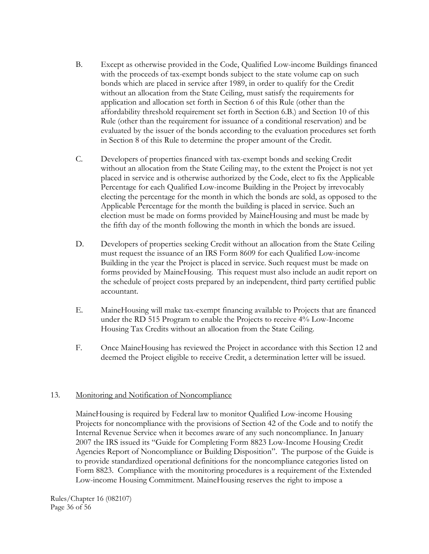- B. Except as otherwise provided in the Code, Qualified Low-income Buildings financed with the proceeds of tax-exempt bonds subject to the state volume cap on such bonds which are placed in service after 1989, in order to qualify for the Credit without an allocation from the State Ceiling, must satisfy the requirements for application and allocation set forth in Section 6 of this Rule (other than the affordability threshold requirement set forth in Section 6.B.) and Section 10 of this Rule (other than the requirement for issuance of a conditional reservation) and be evaluated by the issuer of the bonds according to the evaluation procedures set forth in Section 8 of this Rule to determine the proper amount of the Credit.
- C. Developers of properties financed with tax-exempt bonds and seeking Credit without an allocation from the State Ceiling may, to the extent the Project is not yet placed in service and is otherwise authorized by the Code, elect to fix the Applicable Percentage for each Qualified Low-income Building in the Project by irrevocably electing the percentage for the month in which the bonds are sold, as opposed to the Applicable Percentage for the month the building is placed in service. Such an election must be made on forms provided by MaineHousing and must be made by the fifth day of the month following the month in which the bonds are issued.
- D. Developers of properties seeking Credit without an allocation from the State Ceiling must request the issuance of an IRS Form 8609 for each Qualified Low-income Building in the year the Project is placed in service. Such request must be made on forms provided by MaineHousing. This request must also include an audit report on the schedule of project costs prepared by an independent, third party certified public accountant.
- E. MaineHousing will make tax-exempt financing available to Projects that are financed under the RD 515 Program to enable the Projects to receive 4% Low-Income Housing Tax Credits without an allocation from the State Ceiling.
- F. Once MaineHousing has reviewed the Project in accordance with this Section 12 and deemed the Project eligible to receive Credit, a determination letter will be issued.

### 13. Monitoring and Notification of Noncompliance

 MaineHousing is required by Federal law to monitor Qualified Low-income Housing Projects for noncompliance with the provisions of Section 42 of the Code and to notify the Internal Revenue Service when it becomes aware of any such noncompliance. In January 2007 the IRS issued its "Guide for Completing Form 8823 Low-Income Housing Credit Agencies Report of Noncompliance or Building Disposition". The purpose of the Guide is to provide standardized operational definitions for the noncompliance categories listed on Form 8823. Compliance with the monitoring procedures is a requirement of the Extended Low-income Housing Commitment. MaineHousing reserves the right to impose a

Rules/Chapter 16 (082107) Page 36 of 56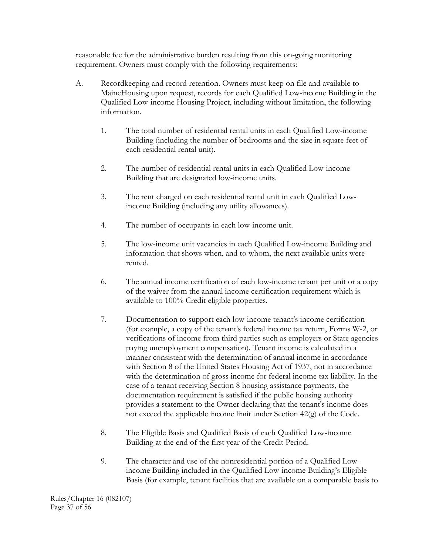reasonable fee for the administrative burden resulting from this on-going monitoring requirement. Owners must comply with the following requirements:

- A. Recordkeeping and record retention. Owners must keep on file and available to MaineHousing upon request, records for each Qualified Low-income Building in the Qualified Low-income Housing Project, including without limitation, the following information.
	- 1. The total number of residential rental units in each Qualified Low-income Building (including the number of bedrooms and the size in square feet of each residential rental unit).
	- 2. The number of residential rental units in each Qualified Low-income Building that are designated low-income units.
	- 3. The rent charged on each residential rental unit in each Qualified Lowincome Building (including any utility allowances).
	- 4. The number of occupants in each low-income unit.
	- 5. The low-income unit vacancies in each Qualified Low-income Building and information that shows when, and to whom, the next available units were rented.
	- 6. The annual income certification of each low-income tenant per unit or a copy of the waiver from the annual income certification requirement which is available to 100% Credit eligible properties.
	- 7. Documentation to support each low-income tenant's income certification (for example, a copy of the tenant's federal income tax return, Forms W-2, or verifications of income from third parties such as employers or State agencies paying unemployment compensation). Tenant income is calculated in a manner consistent with the determination of annual income in accordance with Section 8 of the United States Housing Act of 1937, not in accordance with the determination of gross income for federal income tax liability. In the case of a tenant receiving Section 8 housing assistance payments, the documentation requirement is satisfied if the public housing authority provides a statement to the Owner declaring that the tenant's income does not exceed the applicable income limit under Section 42(g) of the Code.
	- 8. The Eligible Basis and Qualified Basis of each Qualified Low-income Building at the end of the first year of the Credit Period.
	- 9. The character and use of the nonresidential portion of a Qualified Lowincome Building included in the Qualified Low-income Building's Eligible Basis (for example, tenant facilities that are available on a comparable basis to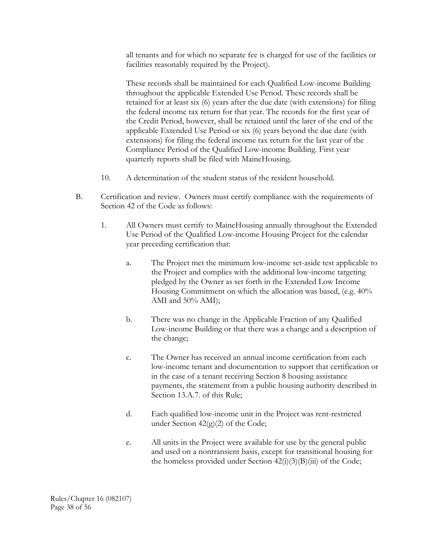all tenants and for which no separate fee is charged for use of the facilities or facilities reasonably required by the Project).

 These records shall be maintained for each Qualified Low-income Building throughout the applicable Extended Use Period. These records shall be retained for at least six (6) years after the due date (with extensions) for filing the federal income tax return for that year. The records for the first year of the Credit Period, however, shall be retained until the later of the end of the applicable Extended Use Period or six (6) years beyond the due date (with extensions) for filing the federal income tax return for the last year of the Compliance Period of the Qualified Low-income Building. First year quarterly reports shall be filed with MaineHousing.

- 10. A determination of the student status of the resident household.
- B. Certification and review. Owners must certify compliance with the requirements of Section 42 of the Code as follows:
	- 1. All Owners must certify to MaineHousing annually throughout the Extended Use Period of the Qualified Low-income Housing Project for the calendar year preceding certification that:
		- a. The Project met the minimum low-income set-aside test applicable to the Project and complies with the additional low-income targeting pledged by the Owner as set forth in the Extended Low Income Housing Commitment on which the allocation was based, (e.g. 40% AMI and 50% AMI);
		- b. There was no change in the Applicable Fraction of any Qualified Low-income Building or that there was a change and a description of the change;
		- c. The Owner has received an annual income certification from each low-income tenant and documentation to support that certification or in the case of a tenant receiving Section 8 housing assistance payments, the statement from a public housing authority described in Section 13.A.7. of this Rule;
		- d. Each qualified low-income unit in the Project was rent-restricted under Section  $42(g)(2)$  of the Code;
		- e. All units in the Project were available for use by the general public and used on a nontransient basis, except for transitional housing for the homeless provided under Section  $42(i)(3)(B)(iii)$  of the Code;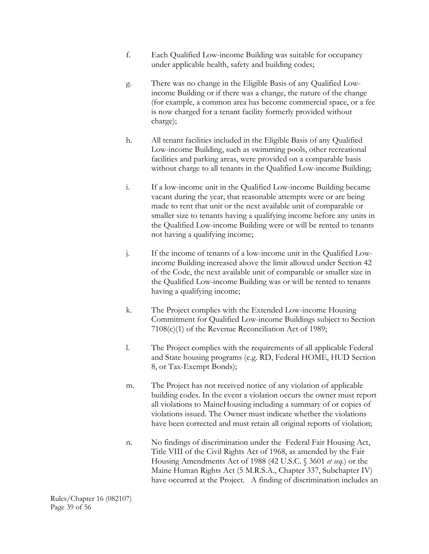- f. Each Qualified Low-income Building was suitable for occupancy under applicable health, safety and building codes;
- g. There was no change in the Eligible Basis of any Qualified Lowincome Building or if there was a change, the nature of the change (for example, a common area has become commercial space, or a fee is now charged for a tenant facility formerly provided without charge);
- h. All tenant facilities included in the Eligible Basis of any Qualified Low-income Building, such as swimming pools, other recreational facilities and parking areas, were provided on a comparable basis without charge to all tenants in the Qualified Low-income Building;
- i. If a low-income unit in the Qualified Low-income Building became vacant during the year, that reasonable attempts were or are being made to rent that unit or the next available unit of comparable or smaller size to tenants having a qualifying income before any units in the Qualified Low-income Building were or will be rented to tenants not having a qualifying income;
- j. If the income of tenants of a low-income unit in the Qualified Lowincome Building increased above the limit allowed under Section 42 of the Code, the next available unit of comparable or smaller size in the Qualified Low-income Building was or will be rented to tenants having a qualifying income;
- k. The Project complies with the Extended Low-income Housing Commitment for Qualified Low-income Buildings subject to Section 7108(c)(1) of the Revenue Reconciliation Act of 1989;
- l. The Project complies with the requirements of all applicable Federal and State housing programs (e.g. RD, Federal HOME, HUD Section 8, or Tax-Exempt Bonds);
- m. The Project has not received notice of any violation of applicable building codes. In the event a violation occurs the owner must report all violations to MaineHousing including a summary of or copies of violations issued. The Owner must indicate whether the violations have been corrected and must retain all original reports of violation;
- n. No findings of discrimination under the Federal Fair Housing Act, Title VIII of the Civil Rights Act of 1968, as amended by the Fair Housing Amendments Act of 1988 (42 U.S.C. § 3601 *et seq.*) or the Maine Human Rights Act (5 M.R.S.A., Chapter 337, Subchapter IV) have occurred at the Project. A finding of discrimination includes an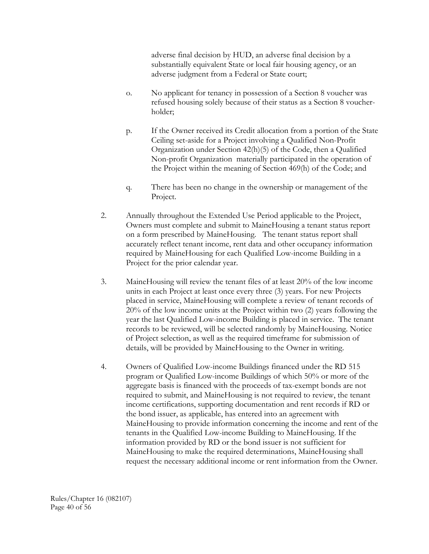adverse final decision by HUD, an adverse final decision by a substantially equivalent State or local fair housing agency, or an adverse judgment from a Federal or State court;

- o. No applicant for tenancy in possession of a Section 8 voucher was refused housing solely because of their status as a Section 8 voucherholder;
- p. If the Owner received its Credit allocation from a portion of the State Ceiling set-aside for a Project involving a Qualified Non-Profit Organization under Section 42(h)(5) of the Code, then a Qualified Non-profit Organization materially participated in the operation of the Project within the meaning of Section 469(h) of the Code; and
- q. There has been no change in the ownership or management of the Project.
- 2. Annually throughout the Extended Use Period applicable to the Project, Owners must complete and submit to MaineHousing a tenant status report on a form prescribed by MaineHousing. The tenant status report shall accurately reflect tenant income, rent data and other occupancy information required by MaineHousing for each Qualified Low-income Building in a Project for the prior calendar year.
- 3. MaineHousing will review the tenant files of at least 20% of the low income units in each Project at least once every three (3) years. For new Projects placed in service, MaineHousing will complete a review of tenant records of 20% of the low income units at the Project within two (2) years following the year the last Qualified Low-income Building is placed in service. The tenant records to be reviewed, will be selected randomly by MaineHousing. Notice of Project selection, as well as the required timeframe for submission of details, will be provided by MaineHousing to the Owner in writing.
- 4. Owners of Qualified Low-income Buildings financed under the RD 515 program or Qualified Low-income Buildings of which 50% or more of the aggregate basis is financed with the proceeds of tax-exempt bonds are not required to submit, and MaineHousing is not required to review, the tenant income certifications, supporting documentation and rent records if RD or the bond issuer, as applicable, has entered into an agreement with MaineHousing to provide information concerning the income and rent of the tenants in the Qualified Low-income Building to MaineHousing. If the information provided by RD or the bond issuer is not sufficient for MaineHousing to make the required determinations, MaineHousing shall request the necessary additional income or rent information from the Owner.

Rules/Chapter 16 (082107) Page 40 of 56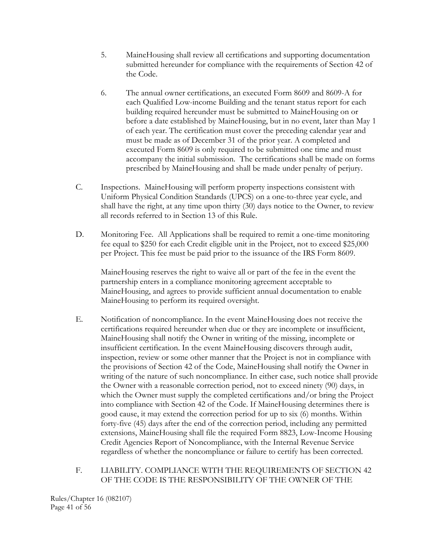- 5. MaineHousing shall review all certifications and supporting documentation submitted hereunder for compliance with the requirements of Section 42 of the Code.
- 6. The annual owner certifications, an executed Form 8609 and 8609-A for each Qualified Low-income Building and the tenant status report for each building required hereunder must be submitted to MaineHousing on or before a date established by MaineHousing, but in no event, later than May 1 of each year. The certification must cover the preceding calendar year and must be made as of December 31 of the prior year. A completed and executed Form 8609 is only required to be submitted one time and must accompany the initial submission. The certifications shall be made on forms prescribed by MaineHousing and shall be made under penalty of perjury.
- C. Inspections. MaineHousing will perform property inspections consistent with Uniform Physical Condition Standards (UPCS) on a one-to-three year cycle, and shall have the right, at any time upon thirty (30) days notice to the Owner, to review all records referred to in Section 13 of this Rule.
- D. Monitoring Fee. All Applications shall be required to remit a one-time monitoring fee equal to \$250 for each Credit eligible unit in the Project, not to exceed \$25,000 per Project. This fee must be paid prior to the issuance of the IRS Form 8609.

MaineHousing reserves the right to waive all or part of the fee in the event the partnership enters in a compliance monitoring agreement acceptable to MaineHousing, and agrees to provide sufficient annual documentation to enable MaineHousing to perform its required oversight.

 E. Notification of noncompliance. In the event MaineHousing does not receive the certifications required hereunder when due or they are incomplete or insufficient, MaineHousing shall notify the Owner in writing of the missing, incomplete or insufficient certification. In the event MaineHousing discovers through audit, inspection, review or some other manner that the Project is not in compliance with the provisions of Section 42 of the Code, MaineHousing shall notify the Owner in writing of the nature of such noncompliance. In either case, such notice shall provide the Owner with a reasonable correction period, not to exceed ninety (90) days, in which the Owner must supply the completed certifications and/or bring the Project into compliance with Section 42 of the Code. If MaineHousing determines there is good cause, it may extend the correction period for up to six (6) months. Within forty-five (45) days after the end of the correction period, including any permitted extensions, MaineHousing shall file the required Form 8823, Low-Income Housing Credit Agencies Report of Noncompliance, with the Internal Revenue Service regardless of whether the noncompliance or failure to certify has been corrected.

# F. LIABILITY. COMPLIANCE WITH THE REQUIREMENTS OF SECTION 42 OF THE CODE IS THE RESPONSIBILITY OF THE OWNER OF THE

Rules/Chapter 16 (082107) Page 41 of 56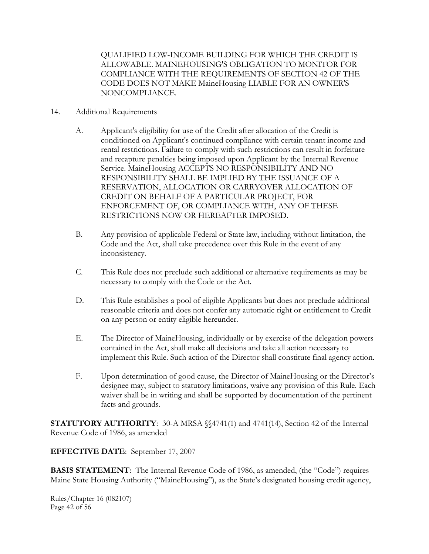QUALIFIED LOW-INCOME BUILDING FOR WHICH THE CREDIT IS ALLOWABLE. MAINEHOUSING'S OBLIGATION TO MONITOR FOR COMPLIANCE WITH THE REQUIREMENTS OF SECTION 42 OF THE CODE DOES NOT MAKE MaineHousing LIABLE FOR AN OWNER'S NONCOMPLIANCE.

### 14. Additional Requirements

- A. Applicant's eligibility for use of the Credit after allocation of the Credit is conditioned on Applicant's continued compliance with certain tenant income and rental restrictions. Failure to comply with such restrictions can result in forfeiture and recapture penalties being imposed upon Applicant by the Internal Revenue Service. MaineHousing ACCEPTS NO RESPONSIBILITY AND NO RESPONSIBILITY SHALL BE IMPLIED BY THE ISSUANCE OF A RESERVATION, ALLOCATION OR CARRYOVER ALLOCATION OF CREDIT ON BEHALF OF A PARTICULAR PROJECT, FOR ENFORCEMENT OF, OR COMPLIANCE WITH, ANY OF THESE RESTRICTIONS NOW OR HEREAFTER IMPOSED.
- B. Any provision of applicable Federal or State law, including without limitation, the Code and the Act, shall take precedence over this Rule in the event of any inconsistency.
- C. This Rule does not preclude such additional or alternative requirements as may be necessary to comply with the Code or the Act.
- D. This Rule establishes a pool of eligible Applicants but does not preclude additional reasonable criteria and does not confer any automatic right or entitlement to Credit on any person or entity eligible hereunder.
- E. The Director of MaineHousing, individually or by exercise of the delegation powers contained in the Act, shall make all decisions and take all action necessary to implement this Rule. Such action of the Director shall constitute final agency action.
- F. Upon determination of good cause, the Director of MaineHousing or the Director's designee may, subject to statutory limitations, waive any provision of this Rule. Each waiver shall be in writing and shall be supported by documentation of the pertinent facts and grounds.

**STATUTORY AUTHORITY:** 30-A MRSA  $\{\$4741(1)$  and 4741(14), Section 42 of the Internal Revenue Code of 1986, as amended

**EFFECTIVE DATE**: September 17, 2007

**BASIS STATEMENT**: The Internal Revenue Code of 1986, as amended, (the "Code") requires Maine State Housing Authority ("MaineHousing"), as the State's designated housing credit agency,

Rules/Chapter 16 (082107) Page 42 of 56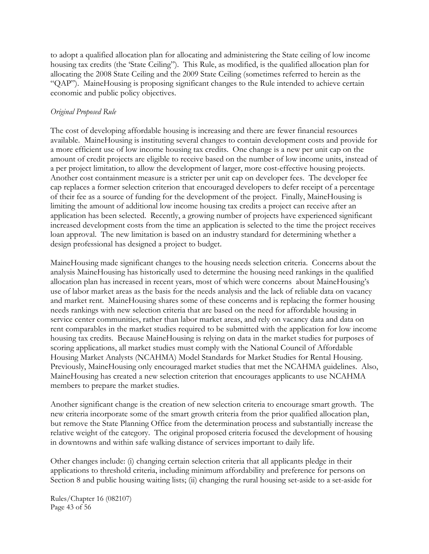to adopt a qualified allocation plan for allocating and administering the State ceiling of low income housing tax credits (the 'State Ceiling"). This Rule, as modified, is the qualified allocation plan for allocating the 2008 State Ceiling and the 2009 State Ceiling (sometimes referred to herein as the "QAP"). MaineHousing is proposing significant changes to the Rule intended to achieve certain economic and public policy objectives.

### *Original Proposed Rule*

The cost of developing affordable housing is increasing and there are fewer financial resources available. MaineHousing is instituting several changes to contain development costs and provide for a more efficient use of low income housing tax credits. One change is a new per unit cap on the amount of credit projects are eligible to receive based on the number of low income units, instead of a per project limitation, to allow the development of larger, more cost-effective housing projects. Another cost containment measure is a stricter per unit cap on developer fees. The developer fee cap replaces a former selection criterion that encouraged developers to defer receipt of a percentage of their fee as a source of funding for the development of the project. Finally, MaineHousing is limiting the amount of additional low income housing tax credits a project can receive after an application has been selected. Recently, a growing number of projects have experienced significant increased development costs from the time an application is selected to the time the project receives loan approval. The new limitation is based on an industry standard for determining whether a design professional has designed a project to budget.

MaineHousing made significant changes to the housing needs selection criteria. Concerns about the analysis MaineHousing has historically used to determine the housing need rankings in the qualified allocation plan has increased in recent years, most of which were concerns about MaineHousing's use of labor market areas as the basis for the needs analysis and the lack of reliable data on vacancy and market rent. MaineHousing shares some of these concerns and is replacing the former housing needs rankings with new selection criteria that are based on the need for affordable housing in service center communities, rather than labor market areas, and rely on vacancy data and data on rent comparables in the market studies required to be submitted with the application for low income housing tax credits. Because MaineHousing is relying on data in the market studies for purposes of scoring applications, all market studies must comply with the National Council of Affordable Housing Market Analysts (NCAHMA) Model Standards for Market Studies for Rental Housing. Previously, MaineHousing only encouraged market studies that met the NCAHMA guidelines. Also, MaineHousing has created a new selection criterion that encourages applicants to use NCAHMA members to prepare the market studies.

Another significant change is the creation of new selection criteria to encourage smart growth. The new criteria incorporate some of the smart growth criteria from the prior qualified allocation plan, but remove the State Planning Office from the determination process and substantially increase the relative weight of the category. The original proposed criteria focused the development of housing in downtowns and within safe walking distance of services important to daily life.

Other changes include: (i) changing certain selection criteria that all applicants pledge in their applications to threshold criteria, including minimum affordability and preference for persons on Section 8 and public housing waiting lists; (ii) changing the rural housing set-aside to a set-aside for

Rules/Chapter 16 (082107) Page 43 of 56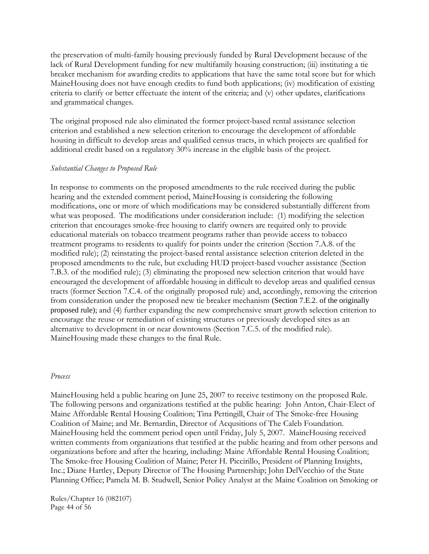the preservation of multi-family housing previously funded by Rural Development because of the lack of Rural Development funding for new multifamily housing construction; (iii) instituting a tie breaker mechanism for awarding credits to applications that have the same total score but for which MaineHousing does not have enough credits to fund both applications; (iv) modification of existing criteria to clarify or better effectuate the intent of the criteria; and (v) other updates, clarifications and grammatical changes.

The original proposed rule also eliminated the former project-based rental assistance selection criterion and established a new selection criterion to encourage the development of affordable housing in difficult to develop areas and qualified census tracts, in which projects are qualified for additional credit based on a regulatory 30% increase in the eligible basis of the project.

#### *Substantial Changes to Proposed Rule*

In response to comments on the proposed amendments to the rule received during the public hearing and the extended comment period, MaineHousing is considering the following modifications, one or more of which modifications may be considered substantially different from what was proposed. The modifications under consideration include: (1) modifying the selection criterion that encourages smoke-free housing to clarify owners are required only to provide educational materials on tobacco treatment programs rather than provide access to tobacco treatment programs to residents to qualify for points under the criterion (Section 7.A.8. of the modified rule); (2) reinstating the project-based rental assistance selection criterion deleted in the proposed amendments to the rule, but excluding HUD project-based voucher assistance (Section 7.B.3. of the modified rule); (3) eliminating the proposed new selection criterion that would have encouraged the development of affordable housing in difficult to develop areas and qualified census tracts (former Section 7.C.4. of the originally proposed rule) and, accordingly, removing the criterion from consideration under the proposed new tie breaker mechanism (Section 7.E.2. of the originally proposed rule); and (4) further expanding the new comprehensive smart growth selection criterion to encourage the reuse or remediation of existing structures or previously developed sites as an alternative to development in or near downtowns (Section 7.C.5. of the modified rule). MaineHousing made these changes to the final Rule.

#### *Process*

MaineHousing held a public hearing on June 25, 2007 to receive testimony on the proposed Rule. The following persons and organizations testified at the public hearing: John Anton, Chair-Elect of Maine Affordable Rental Housing Coalition; Tina Pettingill, Chair of The Smoke-free Housing Coalition of Maine; and Mr. Bernardin, Director of Acqusitions of The Caleb Foundation. MaineHousing held the comment period open until Friday, July 5, 2007. MaineHousing received written comments from organizations that testified at the public hearing and from other persons and organizations before and after the hearing, including: Maine Affordable Rental Housing Coalition; The Smoke-free Housing Coalition of Maine; Peter H. Piccirillo, President of Planning Insights, Inc.; Diane Hartley, Deputy Director of The Housing Partnership; John DelVecchio of the State Planning Office; Pamela M. B. Studwell, Senior Policy Analyst at the Maine Coalition on Smoking or

Rules/Chapter 16 (082107) Page 44 of 56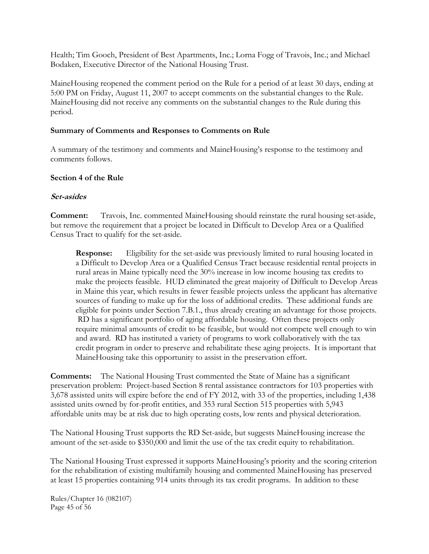Health; Tim Gooch, President of Best Apartments, Inc.; Lorna Fogg of Travois, Inc.; and Michael Bodaken, Executive Director of the National Housing Trust.

MaineHousing reopened the comment period on the Rule for a period of at least 30 days, ending at 5:00 PM on Friday, August 11, 2007 to accept comments on the substantial changes to the Rule. MaineHousing did not receive any comments on the substantial changes to the Rule during this period.

### **Summary of Comments and Responses to Comments on Rule**

A summary of the testimony and comments and MaineHousing's response to the testimony and comments follows.

### **Section 4 of the Rule**

### **Set-asides**

**Comment:** Travois, Inc. commented MaineHousing should reinstate the rural housing set-aside, but remove the requirement that a project be located in Difficult to Develop Area or a Qualified Census Tract to qualify for the set-aside.

**Response:** Eligibility for the set-aside was previously limited to rural housing located in a Difficult to Develop Area or a Qualified Census Tract because residential rental projects in rural areas in Maine typically need the 30% increase in low income housing tax credits to make the projects feasible. HUD eliminated the great majority of Difficult to Develop Areas in Maine this year, which results in fewer feasible projects unless the applicant has alternative sources of funding to make up for the loss of additional credits. These additional funds are eligible for points under Section 7.B.1., thus already creating an advantage for those projects. RD has a significant portfolio of aging affordable housing. Often these projects only require minimal amounts of credit to be feasible, but would not compete well enough to win and award. RD has instituted a variety of programs to work collaboratively with the tax credit program in order to preserve and rehabilitate these aging projects. It is important that MaineHousing take this opportunity to assist in the preservation effort.

**Comments:** The National Housing Trust commented the State of Maine has a significant preservation problem: Project-based Section 8 rental assistance contractors for 103 properties with 3,678 assisted units will expire before the end of FY 2012, with 33 of the properties, including 1,438 assisted units owned by for-profit entities, and 353 rural Section 515 properties with 5,943 affordable units may be at risk due to high operating costs, low rents and physical deterioration.

The National Housing Trust supports the RD Set-aside, but suggests MaineHousing increase the amount of the set-aside to \$350,000 and limit the use of the tax credit equity to rehabilitation.

The National Housing Trust expressed it supports MaineHousing's priority and the scoring criterion for the rehabilitation of existing multifamily housing and commented MaineHousing has preserved at least 15 properties containing 914 units through its tax credit programs. In addition to these

Rules/Chapter 16 (082107) Page 45 of 56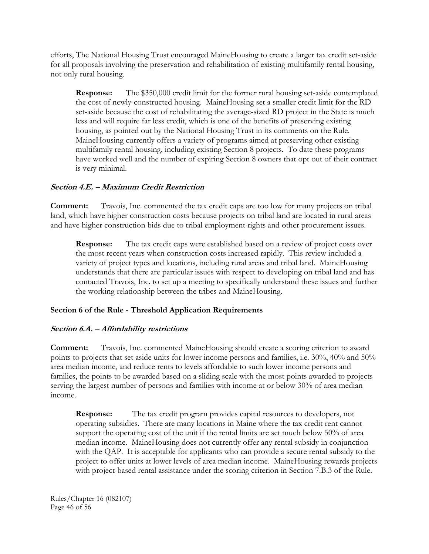efforts, The National Housing Trust encouraged MaineHousing to create a larger tax credit set-aside for all proposals involving the preservation and rehabilitation of existing multifamily rental housing, not only rural housing.

**Response:** The \$350,000 credit limit for the former rural housing set-aside contemplated the cost of newly-constructed housing. MaineHousing set a smaller credit limit for the RD set-aside because the cost of rehabilitating the average-sized RD project in the State is much less and will require far less credit, which is one of the benefits of preserving existing housing, as pointed out by the National Housing Trust in its comments on the Rule. MaineHousing currently offers a variety of programs aimed at preserving other existing multifamily rental housing, including existing Section 8 projects. To date these programs have worked well and the number of expiring Section 8 owners that opt out of their contract is very minimal.

### **Section 4.E. – Maximum Credit Restriction**

**Comment:** Travois, Inc. commented the tax credit caps are too low for many projects on tribal land, which have higher construction costs because projects on tribal land are located in rural areas and have higher construction bids due to tribal employment rights and other procurement issues.

**Response:** The tax credit caps were established based on a review of project costs over the most recent years when construction costs increased rapidly. This review included a variety of project types and locations, including rural areas and tribal land. MaineHousing understands that there are particular issues with respect to developing on tribal land and has contacted Travois, Inc. to set up a meeting to specifically understand these issues and further the working relationship between the tribes and MaineHousing.

# **Section 6 of the Rule - Threshold Application Requirements**

### **Section 6.A. – Affordability restrictions**

**Comment:** Travois, Inc. commented MaineHousing should create a scoring criterion to award points to projects that set aside units for lower income persons and families, i.e. 30%, 40% and 50% area median income, and reduce rents to levels affordable to such lower income persons and families, the points to be awarded based on a sliding scale with the most points awarded to projects serving the largest number of persons and families with income at or below 30% of area median income.

**Response:** The tax credit program provides capital resources to developers, not operating subsidies. There are many locations in Maine where the tax credit rent cannot support the operating cost of the unit if the rental limits are set much below 50% of area median income. MaineHousing does not currently offer any rental subsidy in conjunction with the QAP. It is acceptable for applicants who can provide a secure rental subsidy to the project to offer units at lower levels of area median income. MaineHousing rewards projects with project-based rental assistance under the scoring criterion in Section 7.B.3 of the Rule.

Rules/Chapter 16 (082107) Page 46 of 56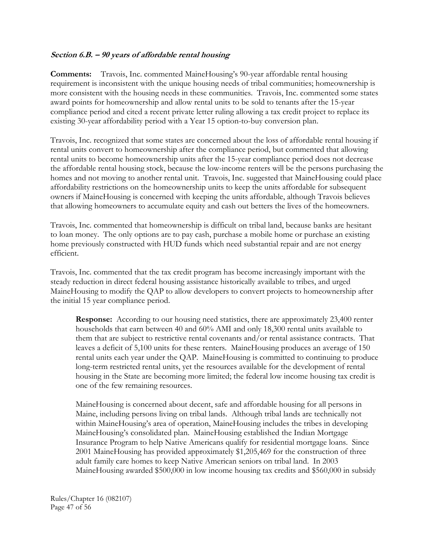### **Section 6.B. – 90 years of affordable rental housing**

**Comments:** Travois, Inc. commented MaineHousing's 90-year affordable rental housing requirement is inconsistent with the unique housing needs of tribal communities; homeownership is more consistent with the housing needs in these communities. Travois, Inc. commented some states award points for homeownership and allow rental units to be sold to tenants after the 15-year compliance period and cited a recent private letter ruling allowing a tax credit project to replace its existing 30-year affordability period with a Year 15 option-to-buy conversion plan.

Travois, Inc. recognized that some states are concerned about the loss of affordable rental housing if rental units convert to homeownership after the compliance period, but commented that allowing rental units to become homeownership units after the 15-year compliance period does not decrease the affordable rental housing stock, because the low-income renters will be the persons purchasing the homes and not moving to another rental unit. Travois, Inc. suggested that MaineHousing could place affordability restrictions on the homeownership units to keep the units affordable for subsequent owners if MaineHousing is concerned with keeping the units affordable, although Travois believes that allowing homeowners to accumulate equity and cash out betters the lives of the homeowners.

Travois, Inc. commented that homeownership is difficult on tribal land, because banks are hesitant to loan money. The only options are to pay cash, purchase a mobile home or purchase an existing home previously constructed with HUD funds which need substantial repair and are not energy efficient.

Travois, Inc. commented that the tax credit program has become increasingly important with the steady reduction in direct federal housing assistance historically available to tribes, and urged MaineHousing to modify the QAP to allow developers to convert projects to homeownership after the initial 15 year compliance period.

**Response:** According to our housing need statistics, there are approximately 23,400 renter households that earn between 40 and 60% AMI and only 18,300 rental units available to them that are subject to restrictive rental covenants and/or rental assistance contracts. That leaves a deficit of 5,100 units for these renters. MaineHousing produces an average of 150 rental units each year under the QAP. MaineHousing is committed to continuing to produce long-term restricted rental units, yet the resources available for the development of rental housing in the State are becoming more limited; the federal low income housing tax credit is one of the few remaining resources.

MaineHousing is concerned about decent, safe and affordable housing for all persons in Maine, including persons living on tribal lands. Although tribal lands are technically not within MaineHousing's area of operation, MaineHousing includes the tribes in developing MaineHousing's consolidated plan. MaineHousing established the Indian Mortgage Insurance Program to help Native Americans qualify for residential mortgage loans. Since 2001 MaineHousing has provided approximately \$1,205,469 for the construction of three adult family care homes to keep Native American seniors on tribal land. In 2003 MaineHousing awarded \$500,000 in low income housing tax credits and \$560,000 in subsidy

Rules/Chapter 16 (082107) Page 47 of 56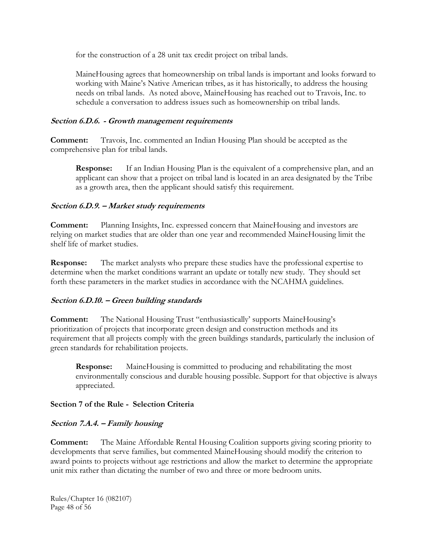for the construction of a 28 unit tax credit project on tribal lands.

MaineHousing agrees that homeownership on tribal lands is important and looks forward to working with Maine's Native American tribes, as it has historically, to address the housing needs on tribal lands. As noted above, MaineHousing has reached out to Travois, Inc. to schedule a conversation to address issues such as homeownership on tribal lands.

### **Section 6.D.6. - Growth management requirements**

**Comment:** Travois, Inc. commented an Indian Housing Plan should be accepted as the comprehensive plan for tribal lands.

**Response:** If an Indian Housing Plan is the equivalent of a comprehensive plan, and an applicant can show that a project on tribal land is located in an area designated by the Tribe as a growth area, then the applicant should satisfy this requirement.

# **Section 6.D.9. – Market study requirements**

**Comment:** Planning Insights, Inc. expressed concern that MaineHousing and investors are relying on market studies that are older than one year and recommended MaineHousing limit the shelf life of market studies.

**Response:** The market analysts who prepare these studies have the professional expertise to determine when the market conditions warrant an update or totally new study. They should set forth these parameters in the market studies in accordance with the NCAHMA guidelines.

### **Section 6.D.10. – Green building standards**

**Comment:** The National Housing Trust "enthusiastically' supports MaineHousing's prioritization of projects that incorporate green design and construction methods and its requirement that all projects comply with the green buildings standards, particularly the inclusion of green standards for rehabilitation projects.

**Response:** MaineHousing is committed to producing and rehabilitating the most environmentally conscious and durable housing possible. Support for that objective is always appreciated.

### **Section 7 of the Rule - Selection Criteria**

# **Section 7.A.4. – Family housing**

**Comment:** The Maine Affordable Rental Housing Coalition supports giving scoring priority to developments that serve families, but commented MaineHousing should modify the criterion to award points to projects without age restrictions and allow the market to determine the appropriate unit mix rather than dictating the number of two and three or more bedroom units.

Rules/Chapter 16 (082107) Page 48 of 56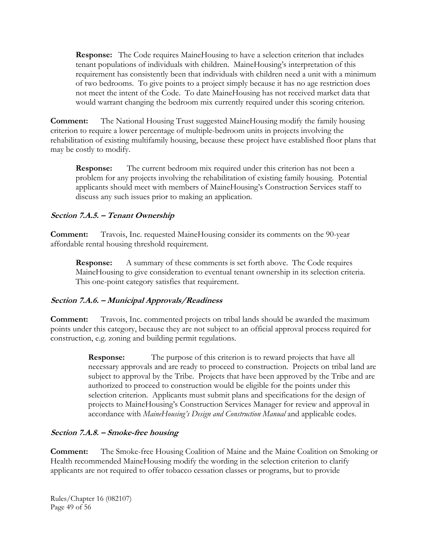**Response:** The Code requires MaineHousing to have a selection criterion that includes tenant populations of individuals with children. MaineHousing's interpretation of this requirement has consistently been that individuals with children need a unit with a minimum of two bedrooms. To give points to a project simply because it has no age restriction does not meet the intent of the Code. To date MaineHousing has not received market data that would warrant changing the bedroom mix currently required under this scoring criterion.

**Comment:** The National Housing Trust suggested MaineHousing modify the family housing criterion to require a lower percentage of multiple-bedroom units in projects involving the rehabilitation of existing multifamily housing, because these project have established floor plans that may be costly to modify.

**Response:** The current bedroom mix required under this criterion has not been a problem for any projects involving the rehabilitation of existing family housing. Potential applicants should meet with members of MaineHousing's Construction Services staff to discuss any such issues prior to making an application.

# **Section 7.A.5. – Tenant Ownership**

**Comment:** Travois, Inc. requested MaineHousing consider its comments on the 90-year affordable rental housing threshold requirement.

**Response:** A summary of these comments is set forth above. The Code requires MaineHousing to give consideration to eventual tenant ownership in its selection criteria. This one-point category satisfies that requirement.

### **Section 7.A.6. – Municipal Approvals/Readiness**

**Comment:** Travois, Inc. commented projects on tribal lands should be awarded the maximum points under this category, because they are not subject to an official approval process required for construction, e.g. zoning and building permit regulations.

> **Response:** The purpose of this criterion is to reward projects that have all necessary approvals and are ready to proceed to construction. Projects on tribal land are subject to approval by the Tribe. Projects that have been approved by the Tribe and are authorized to proceed to construction would be eligible for the points under this selection criterion. Applicants must submit plans and specifications for the design of projects to MaineHousing's Construction Services Manager for review and approval in accordance with *MaineHousing's Design and Construction Manual* and applicable codes.

### **Section 7.A.8. – Smoke-free housing**

**Comment:** The Smoke-free Housing Coalition of Maine and the Maine Coalition on Smoking or Health recommended MaineHousing modify the wording in the selection criterion to clarify applicants are not required to offer tobacco cessation classes or programs, but to provide

Rules/Chapter 16 (082107) Page 49 of 56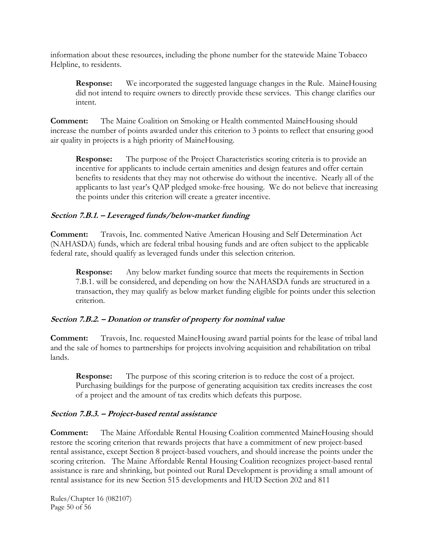information about these resources, including the phone number for the statewide Maine Tobacco Helpline, to residents.

**Response:** We incorporated the suggested language changes in the Rule. MaineHousing did not intend to require owners to directly provide these services. This change clarifies our intent.

**Comment:** The Maine Coalition on Smoking or Health commented MaineHousing should increase the number of points awarded under this criterion to 3 points to reflect that ensuring good air quality in projects is a high priority of MaineHousing.

**Response:** The purpose of the Project Characteristics scoring criteria is to provide an incentive for applicants to include certain amenities and design features and offer certain benefits to residents that they may not otherwise do without the incentive. Nearly all of the applicants to last year's QAP pledged smoke-free housing. We do not believe that increasing the points under this criterion will create a greater incentive.

# **Section 7.B.1. – Leveraged funds/below-market funding**

**Comment:** Travois, Inc. commented Native American Housing and Self Determination Act (NAHASDA) funds, which are federal tribal housing funds and are often subject to the applicable federal rate, should qualify as leveraged funds under this selection criterion.

**Response:** Any below market funding source that meets the requirements in Section 7.B.1. will be considered, and depending on how the NAHASDA funds are structured in a transaction, they may qualify as below market funding eligible for points under this selection criterion.

# **Section 7.B.2. – Donation or transfer of property for nominal value**

**Comment:** Travois, Inc. requested MaineHousing award partial points for the lease of tribal land and the sale of homes to partnerships for projects involving acquisition and rehabilitation on tribal lands.

**Response:** The purpose of this scoring criterion is to reduce the cost of a project. Purchasing buildings for the purpose of generating acquisition tax credits increases the cost of a project and the amount of tax credits which defeats this purpose.

### **Section 7.B.3. – Project-based rental assistance**

**Comment:** The Maine Affordable Rental Housing Coalition commented MaineHousing should restore the scoring criterion that rewards projects that have a commitment of new project-based rental assistance, except Section 8 project-based vouchers, and should increase the points under the scoring criterion. The Maine Affordable Rental Housing Coalition recognizes project-based rental assistance is rare and shrinking, but pointed out Rural Development is providing a small amount of rental assistance for its new Section 515 developments and HUD Section 202 and 811

Rules/Chapter 16 (082107) Page 50 of 56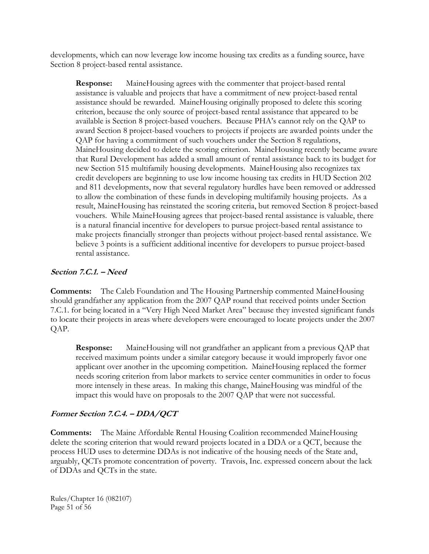developments, which can now leverage low income housing tax credits as a funding source, have Section 8 project-based rental assistance.

**Response:** MaineHousing agrees with the commenter that project-based rental assistance is valuable and projects that have a commitment of new project-based rental assistance should be rewarded. MaineHousing originally proposed to delete this scoring criterion, because the only source of project-based rental assistance that appeared to be available is Section 8 project-based vouchers. Because PHA's cannot rely on the QAP to award Section 8 project-based vouchers to projects if projects are awarded points under the QAP for having a commitment of such vouchers under the Section 8 regulations, MaineHousing decided to delete the scoring criterion. MaineHousing recently became aware that Rural Development has added a small amount of rental assistance back to its budget for new Section 515 multifamily housing developments. MaineHousing also recognizes tax credit developers are beginning to use low income housing tax credits in HUD Section 202 and 811 developments, now that several regulatory hurdles have been removed or addressed to allow the combination of these funds in developing multifamily housing projects. As a result, MaineHousing has reinstated the scoring criteria, but removed Section 8 project-based vouchers. While MaineHousing agrees that project-based rental assistance is valuable, there is a natural financial incentive for developers to pursue project-based rental assistance to make projects financially stronger than projects without project-based rental assistance. We believe 3 points is a sufficient additional incentive for developers to pursue project-based rental assistance.

### **Section 7.C.1. – Need**

**Comments:** The Caleb Foundation and The Housing Partnership commented MaineHousing should grandfather any application from the 2007 QAP round that received points under Section 7.C.1. for being located in a "Very High Need Market Area" because they invested significant funds to locate their projects in areas where developers were encouraged to locate projects under the 2007 QAP.

**Response:** MaineHousing will not grandfather an applicant from a previous QAP that received maximum points under a similar category because it would improperly favor one applicant over another in the upcoming competition. MaineHousing replaced the former needs scoring criterion from labor markets to service center communities in order to focus more intensely in these areas. In making this change, MaineHousing was mindful of the impact this would have on proposals to the 2007 QAP that were not successful.

# **Former Section 7.C.4. – DDA/QCT**

**Comments:** The Maine Affordable Rental Housing Coalition recommended MaineHousing delete the scoring criterion that would reward projects located in a DDA or a QCT, because the process HUD uses to determine DDAs is not indicative of the housing needs of the State and, arguably, QCTs promote concentration of poverty. Travois, Inc. expressed concern about the lack of DDAs and QCTs in the state.

Rules/Chapter 16 (082107) Page 51 of 56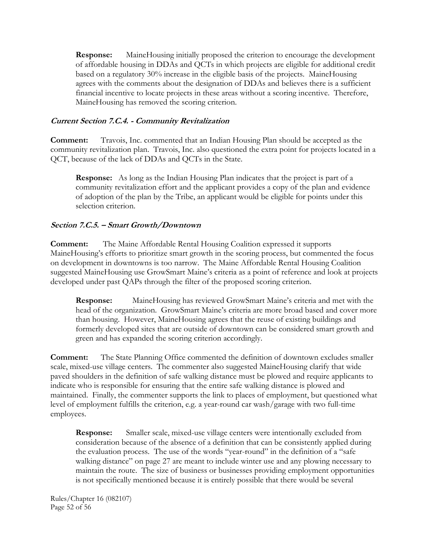**Response:** MaineHousing initially proposed the criterion to encourage the development of affordable housing in DDAs and QCTs in which projects are eligible for additional credit based on a regulatory 30% increase in the eligible basis of the projects. MaineHousing agrees with the comments about the designation of DDAs and believes there is a sufficient financial incentive to locate projects in these areas without a scoring incentive. Therefore, MaineHousing has removed the scoring criterion.

### **Current Section 7.C.4. - Community Revitalization**

**Comment:** Travois, Inc. commented that an Indian Housing Plan should be accepted as the community revitalization plan. Travois, Inc. also questioned the extra point for projects located in a QCT, because of the lack of DDAs and QCTs in the State.

**Response:** As long as the Indian Housing Plan indicates that the project is part of a community revitalization effort and the applicant provides a copy of the plan and evidence of adoption of the plan by the Tribe, an applicant would be eligible for points under this selection criterion.

### **Section 7.C.5. – Smart Growth/Downtown**

**Comment:** The Maine Affordable Rental Housing Coalition expressed it supports MaineHousing's efforts to prioritize smart growth in the scoring process, but commented the focus on development in downtowns is too narrow. The Maine Affordable Rental Housing Coalition suggested MaineHousing use GrowSmart Maine's criteria as a point of reference and look at projects developed under past QAPs through the filter of the proposed scoring criterion.

**Response:** MaineHousing has reviewed GrowSmart Maine's criteria and met with the head of the organization. GrowSmart Maine's criteria are more broad based and cover more than housing. However, MaineHousing agrees that the reuse of existing buildings and formerly developed sites that are outside of downtown can be considered smart growth and green and has expanded the scoring criterion accordingly.

**Comment:** The State Planning Office commented the definition of downtown excludes smaller scale, mixed-use village centers. The commenter also suggested MaineHousing clarify that wide paved shoulders in the definition of safe walking distance must be plowed and require applicants to indicate who is responsible for ensuring that the entire safe walking distance is plowed and maintained. Finally, the commenter supports the link to places of employment, but questioned what level of employment fulfills the criterion, e.g. a year-round car wash/garage with two full-time employees.

**Response:** Smaller scale, mixed-use village centers were intentionally excluded from consideration because of the absence of a definition that can be consistently applied during the evaluation process. The use of the words "year-round" in the definition of a "safe walking distance" on page 27 are meant to include winter use and any plowing necessary to maintain the route. The size of business or businesses providing employment opportunities is not specifically mentioned because it is entirely possible that there would be several

Rules/Chapter 16 (082107) Page 52 of 56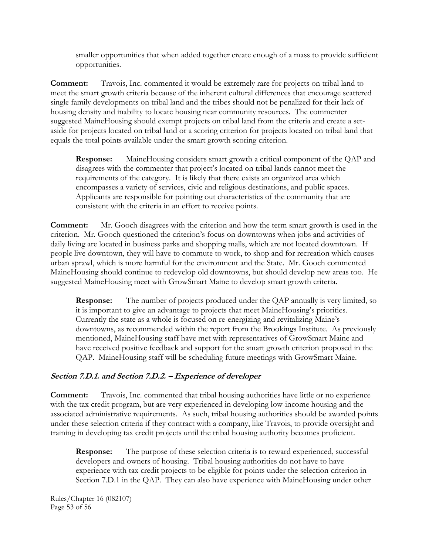smaller opportunities that when added together create enough of a mass to provide sufficient opportunities.

**Comment:** Travois, Inc. commented it would be extremely rare for projects on tribal land to meet the smart growth criteria because of the inherent cultural differences that encourage scattered single family developments on tribal land and the tribes should not be penalized for their lack of housing density and inability to locate housing near community resources. The commenter suggested MaineHousing should exempt projects on tribal land from the criteria and create a setaside for projects located on tribal land or a scoring criterion for projects located on tribal land that equals the total points available under the smart growth scoring criterion.

**Response:** MaineHousing considers smart growth a critical component of the QAP and disagrees with the commenter that project's located on tribal lands cannot meet the requirements of the category. It is likely that there exists an organized area which encompasses a variety of services, civic and religious destinations, and public spaces. Applicants are responsible for pointing out characteristics of the community that are consistent with the criteria in an effort to receive points.

**Comment:** Mr. Gooch disagrees with the criterion and how the term smart growth is used in the criterion. Mr. Gooch questioned the criterion's focus on downtowns when jobs and activities of daily living are located in business parks and shopping malls, which are not located downtown. If people live downtown, they will have to commute to work, to shop and for recreation which causes urban sprawl, which is more harmful for the environment and the State. Mr. Gooch commented MaineHousing should continue to redevelop old downtowns, but should develop new areas too. He suggested MaineHousing meet with GrowSmart Maine to develop smart growth criteria.

**Response:** The number of projects produced under the QAP annually is very limited, so it is important to give an advantage to projects that meet MaineHousing's priorities. Currently the state as a whole is focused on re-energizing and revitalizing Maine's downtowns, as recommended within the report from the Brookings Institute. As previously mentioned, MaineHousing staff have met with representatives of GrowSmart Maine and have received positive feedback and support for the smart growth criterion proposed in the QAP. MaineHousing staff will be scheduling future meetings with GrowSmart Maine.

### **Section 7.D.1. and Section 7.D.2. – Experience of developer**

**Comment:** Travois, Inc. commented that tribal housing authorities have little or no experience with the tax credit program, but are very experienced in developing low-income housing and the associated administrative requirements. As such, tribal housing authorities should be awarded points under these selection criteria if they contract with a company, like Travois, to provide oversight and training in developing tax credit projects until the tribal housing authority becomes proficient.

**Response:** The purpose of these selection criteria is to reward experienced, successful developers and owners of housing. Tribal housing authorities do not have to have experience with tax credit projects to be eligible for points under the selection criterion in Section 7.D.1 in the QAP. They can also have experience with MaineHousing under other

Rules/Chapter 16 (082107) Page 53 of 56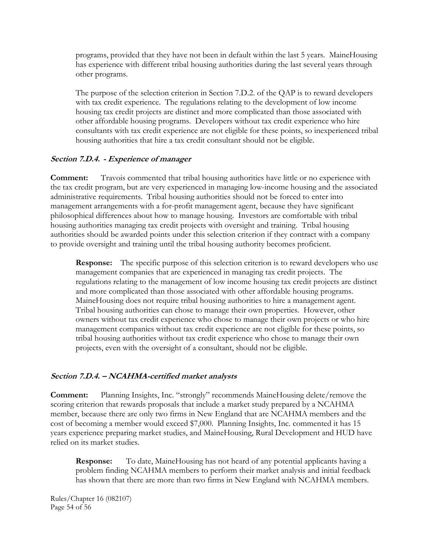programs, provided that they have not been in default within the last 5 years. MaineHousing has experience with different tribal housing authorities during the last several years through other programs.

The purpose of the selection criterion in Section 7.D.2. of the QAP is to reward developers with tax credit experience. The regulations relating to the development of low income housing tax credit projects are distinct and more complicated than those associated with other affordable housing programs. Developers without tax credit experience who hire consultants with tax credit experience are not eligible for these points, so inexperienced tribal housing authorities that hire a tax credit consultant should not be eligible.

### **Section 7.D.4. - Experience of manager**

**Comment:** Travois commented that tribal housing authorities have little or no experience with the tax credit program, but are very experienced in managing low-income housing and the associated administrative requirements. Tribal housing authorities should not be forced to enter into management arrangements with a for-profit management agent, because they have significant philosophical differences about how to manage housing. Investors are comfortable with tribal housing authorities managing tax credit projects with oversight and training. Tribal housing authorities should be awarded points under this selection criterion if they contract with a company to provide oversight and training until the tribal housing authority becomes proficient.

**Response:** The specific purpose of this selection criterion is to reward developers who use management companies that are experienced in managing tax credit projects. The regulations relating to the management of low income housing tax credit projects are distinct and more complicated than those associated with other affordable housing programs. MaineHousing does not require tribal housing authorities to hire a management agent. Tribal housing authorities can chose to manage their own properties. However, other owners without tax credit experience who chose to manage their own projects or who hire management companies without tax credit experience are not eligible for these points, so tribal housing authorities without tax credit experience who chose to manage their own projects, even with the oversight of a consultant, should not be eligible.

### **Section 7.D.4. – NCAHMA-certified market analysts**

**Comment:** Planning Insights, Inc. "strongly" recommends MaineHousing delete/remove the scoring criterion that rewards proposals that include a market study prepared by a NCAHMA member, because there are only two firms in New England that are NCAHMA members and the cost of becoming a member would exceed \$7,000. Planning Insights, Inc. commented it has 15 years experience preparing market studies, and MaineHousing, Rural Development and HUD have relied on its market studies.

**Response:** To date, MaineHousing has not heard of any potential applicants having a problem finding NCAHMA members to perform their market analysis and initial feedback has shown that there are more than two firms in New England with NCAHMA members.

Rules/Chapter 16 (082107) Page 54 of 56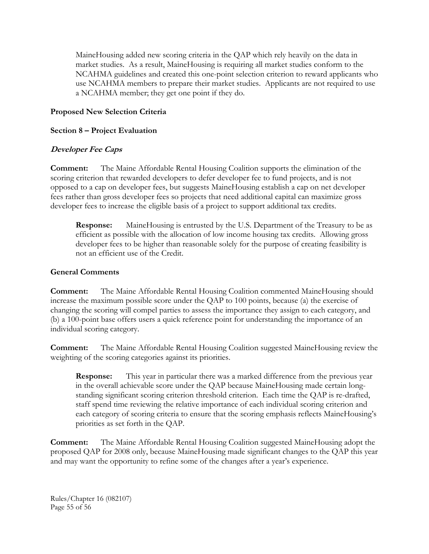MaineHousing added new scoring criteria in the QAP which rely heavily on the data in market studies. As a result, MaineHousing is requiring all market studies conform to the NCAHMA guidelines and created this one-point selection criterion to reward applicants who use NCAHMA members to prepare their market studies. Applicants are not required to use a NCAHMA member; they get one point if they do.

# **Proposed New Selection Criteria**

### **Section 8 – Project Evaluation**

# **Developer Fee Caps**

**Comment:** The Maine Affordable Rental Housing Coalition supports the elimination of the scoring criterion that rewarded developers to defer developer fee to fund projects, and is not opposed to a cap on developer fees, but suggests MaineHousing establish a cap on net developer fees rather than gross developer fees so projects that need additional capital can maximize gross developer fees to increase the eligible basis of a project to support additional tax credits.

**Response:** MaineHousing is entrusted by the U.S. Department of the Treasury to be as efficient as possible with the allocation of low income housing tax credits. Allowing gross developer fees to be higher than reasonable solely for the purpose of creating feasibility is not an efficient use of the Credit.

### **General Comments**

**Comment:** The Maine Affordable Rental Housing Coalition commented MaineHousing should increase the maximum possible score under the QAP to 100 points, because (a) the exercise of changing the scoring will compel parties to assess the importance they assign to each category, and (b) a 100-point base offers users a quick reference point for understanding the importance of an individual scoring category.

**Comment:** The Maine Affordable Rental Housing Coalition suggested MaineHousing review the weighting of the scoring categories against its priorities.

**Response:** This year in particular there was a marked difference from the previous year in the overall achievable score under the QAP because MaineHousing made certain longstanding significant scoring criterion threshold criterion. Each time the QAP is re-drafted, staff spend time reviewing the relative importance of each individual scoring criterion and each category of scoring criteria to ensure that the scoring emphasis reflects MaineHousing's priorities as set forth in the QAP.

**Comment:** The Maine Affordable Rental Housing Coalition suggested MaineHousing adopt the proposed QAP for 2008 only, because MaineHousing made significant changes to the QAP this year and may want the opportunity to refine some of the changes after a year's experience.

Rules/Chapter 16 (082107) Page 55 of 56